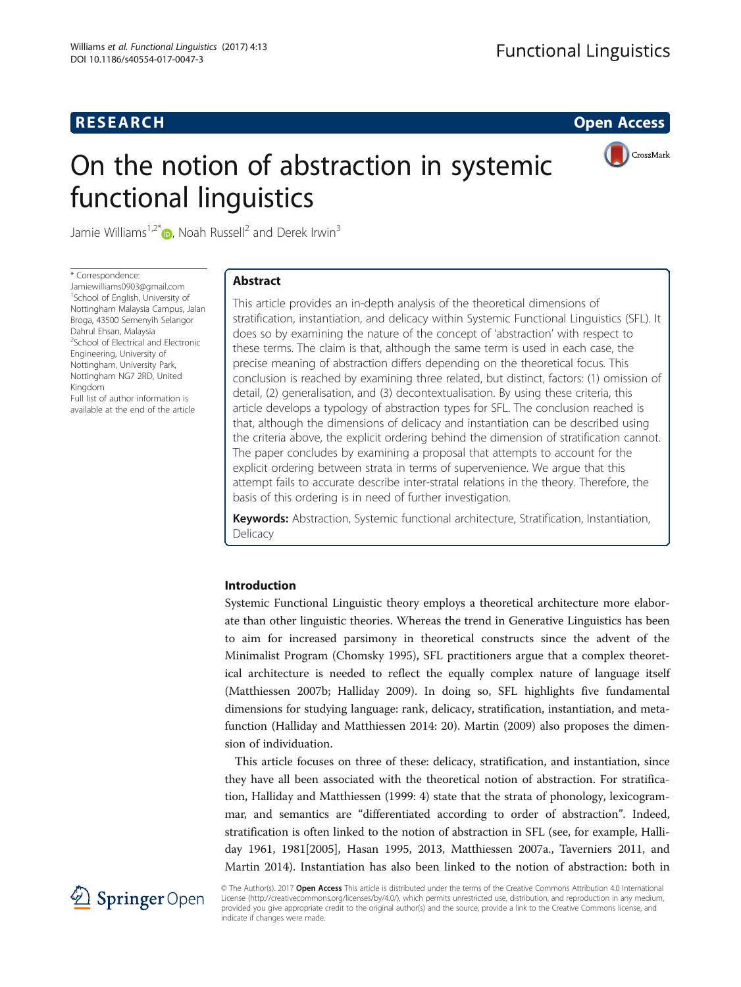## **RESEARCH RESEARCH CONSUMING ACCESS**

# On the notion of abstraction in systemic functional linguistics



Jamie Williams<sup>1[,](http://orcid.org/0000-0002-5832-3019)2\*</sup> $\bullet$ , Noah Russell<sup>2</sup> and Derek Irwin<sup>3</sup>

\* Correspondence:

[Jamiewilliams0903@gmail.com](mailto:Jamiewilliams0903@gmail.com) <sup>1</sup>School of English, University of Nottingham Malaysia Campus, Jalan Broga, 43500 Semenyih Selangor Dahrul Ehsan, Malaysia <sup>2</sup>School of Electrical and Electronic Engineering, University of Nottingham, University Park, Nottingham NG7 2RD, United Kingdom Full list of author information is available at the end of the article

## Abstract

This article provides an in-depth analysis of the theoretical dimensions of stratification, instantiation, and delicacy within Systemic Functional Linguistics (SFL). It does so by examining the nature of the concept of 'abstraction' with respect to these terms. The claim is that, although the same term is used in each case, the precise meaning of abstraction differs depending on the theoretical focus. This conclusion is reached by examining three related, but distinct, factors: (1) omission of detail, (2) generalisation, and (3) decontextualisation. By using these criteria, this article develops a typology of abstraction types for SFL. The conclusion reached is that, although the dimensions of delicacy and instantiation can be described using the criteria above, the explicit ordering behind the dimension of stratification cannot. The paper concludes by examining a proposal that attempts to account for the explicit ordering between strata in terms of supervenience. We argue that this attempt fails to accurate describe inter-stratal relations in the theory. Therefore, the basis of this ordering is in need of further investigation.

Keywords: Abstraction, Systemic functional architecture, Stratification, Instantiation, **Delicacy** 

## Introduction

Systemic Functional Linguistic theory employs a theoretical architecture more elaborate than other linguistic theories. Whereas the trend in Generative Linguistics has been to aim for increased parsimony in theoretical constructs since the advent of the Minimalist Program (Chomsky [1995\)](#page-20-0), SFL practitioners argue that a complex theoretical architecture is needed to reflect the equally complex nature of language itself (Matthiessen [2007b;](#page-21-0) Halliday [2009](#page-20-0)). In doing so, SFL highlights five fundamental dimensions for studying language: rank, delicacy, stratification, instantiation, and metafunction (Halliday and Matthiessen [2014](#page-20-0): 20). Martin [\(2009\)](#page-20-0) also proposes the dimension of individuation.

This article focuses on three of these: delicacy, stratification, and instantiation, since they have all been associated with the theoretical notion of abstraction. For stratification, Halliday and Matthiessen ([1999](#page-20-0): 4) state that the strata of phonology, lexicogrammar, and semantics are "differentiated according to order of abstraction". Indeed, stratification is often linked to the notion of abstraction in SFL (see, for example, Halliday [1961](#page-20-0), [1981\[](#page-20-0)2005], Hasan [1995, 2013,](#page-20-0) Matthiessen [2007a](#page-21-0)., Taverniers [2011,](#page-21-0) and Martin [2014](#page-20-0)). Instantiation has also been linked to the notion of abstraction: both in



© The Author(s). 2017 Open Access This article is distributed under the terms of the Creative Commons Attribution 4.0 International License [\(http://creativecommons.org/licenses/by/4.0/](http://creativecommons.org/licenses/by/4.0/)), which permits unrestricted use, distribution, and reproduction in any medium, provided you give appropriate credit to the original author(s) and the source, provide a link to the Creative Commons license, and indicate if changes were made.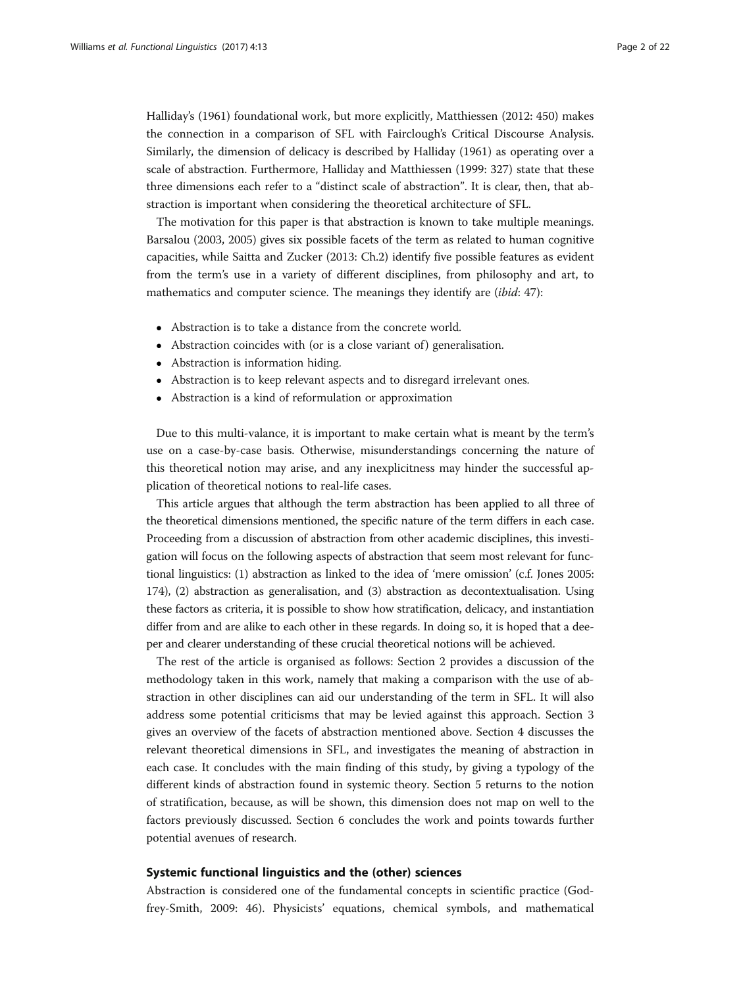Halliday's [\(1961](#page-20-0)) foundational work, but more explicitly, Matthiessen ([2012](#page-21-0): 450) makes the connection in a comparison of SFL with Fairclough's Critical Discourse Analysis. Similarly, the dimension of delicacy is described by Halliday ([1961](#page-20-0)) as operating over a scale of abstraction. Furthermore, Halliday and Matthiessen ([1999](#page-20-0): 327) state that these three dimensions each refer to a "distinct scale of abstraction". It is clear, then, that abstraction is important when considering the theoretical architecture of SFL.

The motivation for this paper is that abstraction is known to take multiple meanings. Barsalou ([2003](#page-20-0), [2005](#page-20-0)) gives six possible facets of the term as related to human cognitive capacities, while Saitta and Zucker [\(2013](#page-21-0): Ch.2) identify five possible features as evident from the term's use in a variety of different disciplines, from philosophy and art, to mathematics and computer science. The meanings they identify are *(ibid: 47)*:

- Abstraction is to take a distance from the concrete world.
- Abstraction coincides with (or is a close variant of) generalisation.
- Abstraction is information hiding.
- Abstraction is to keep relevant aspects and to disregard irrelevant ones.
- Abstraction is a kind of reformulation or approximation

Due to this multi-valance, it is important to make certain what is meant by the term's use on a case-by-case basis. Otherwise, misunderstandings concerning the nature of this theoretical notion may arise, and any inexplicitness may hinder the successful application of theoretical notions to real-life cases.

This article argues that although the term abstraction has been applied to all three of the theoretical dimensions mentioned, the specific nature of the term differs in each case. Proceeding from a discussion of abstraction from other academic disciplines, this investigation will focus on the following aspects of abstraction that seem most relevant for functional linguistics: (1) abstraction as linked to the idea of 'mere omission' (c.f. Jones [2005](#page-20-0): 174), (2) abstraction as generalisation, and (3) abstraction as decontextualisation. Using these factors as criteria, it is possible to show how stratification, delicacy, and instantiation differ from and are alike to each other in these regards. In doing so, it is hoped that a deeper and clearer understanding of these crucial theoretical notions will be achieved.

The rest of the article is organised as follows: Section 2 provides a discussion of the methodology taken in this work, namely that making a comparison with the use of abstraction in other disciplines can aid our understanding of the term in SFL. It will also address some potential criticisms that may be levied against this approach. Section 3 gives an overview of the facets of abstraction mentioned above. Section 4 discusses the relevant theoretical dimensions in SFL, and investigates the meaning of abstraction in each case. It concludes with the main finding of this study, by giving a typology of the different kinds of abstraction found in systemic theory. Section 5 returns to the notion of stratification, because, as will be shown, this dimension does not map on well to the factors previously discussed. Section 6 concludes the work and points towards further potential avenues of research.

## Systemic functional linguistics and the (other) sciences

Abstraction is considered one of the fundamental concepts in scientific practice (Godfrey-Smith, [2009:](#page-20-0) 46). Physicists' equations, chemical symbols, and mathematical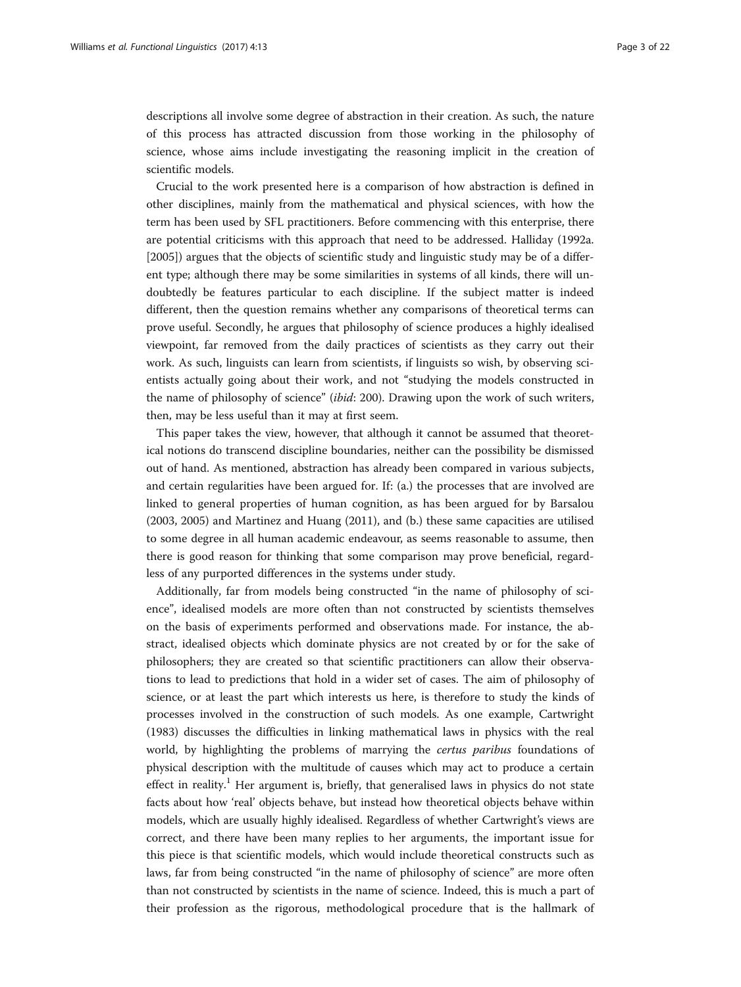descriptions all involve some degree of abstraction in their creation. As such, the nature of this process has attracted discussion from those working in the philosophy of science, whose aims include investigating the reasoning implicit in the creation of scientific models.

Crucial to the work presented here is a comparison of how abstraction is defined in other disciplines, mainly from the mathematical and physical sciences, with how the term has been used by SFL practitioners. Before commencing with this enterprise, there are potential criticisms with this approach that need to be addressed. Halliday [\(1992a](#page-20-0). [2005]) argues that the objects of scientific study and linguistic study may be of a different type; although there may be some similarities in systems of all kinds, there will undoubtedly be features particular to each discipline. If the subject matter is indeed different, then the question remains whether any comparisons of theoretical terms can prove useful. Secondly, he argues that philosophy of science produces a highly idealised viewpoint, far removed from the daily practices of scientists as they carry out their work. As such, linguists can learn from scientists, if linguists so wish, by observing scientists actually going about their work, and not "studying the models constructed in the name of philosophy of science" (ibid: 200). Drawing upon the work of such writers, then, may be less useful than it may at first seem.

This paper takes the view, however, that although it cannot be assumed that theoretical notions do transcend discipline boundaries, neither can the possibility be dismissed out of hand. As mentioned, abstraction has already been compared in various subjects, and certain regularities have been argued for. If: (a.) the processes that are involved are linked to general properties of human cognition, as has been argued for by Barsalou ([2003](#page-20-0), [2005](#page-20-0)) and Martinez and Huang ([2011](#page-21-0)), and (b.) these same capacities are utilised to some degree in all human academic endeavour, as seems reasonable to assume, then there is good reason for thinking that some comparison may prove beneficial, regardless of any purported differences in the systems under study.

Additionally, far from models being constructed "in the name of philosophy of science", idealised models are more often than not constructed by scientists themselves on the basis of experiments performed and observations made. For instance, the abstract, idealised objects which dominate physics are not created by or for the sake of philosophers; they are created so that scientific practitioners can allow their observations to lead to predictions that hold in a wider set of cases. The aim of philosophy of science, or at least the part which interests us here, is therefore to study the kinds of processes involved in the construction of such models. As one example, Cartwright ([1983](#page-20-0)) discusses the difficulties in linking mathematical laws in physics with the real world, by highlighting the problems of marrying the *certus paribus* foundations of physical description with the multitude of causes which may act to produce a certain effect in reality.<sup>1</sup> Her argument is, briefly, that generalised laws in physics do not state facts about how 'real' objects behave, but instead how theoretical objects behave within models, which are usually highly idealised. Regardless of whether Cartwright's views are correct, and there have been many replies to her arguments, the important issue for this piece is that scientific models, which would include theoretical constructs such as laws, far from being constructed "in the name of philosophy of science" are more often than not constructed by scientists in the name of science. Indeed, this is much a part of their profession as the rigorous, methodological procedure that is the hallmark of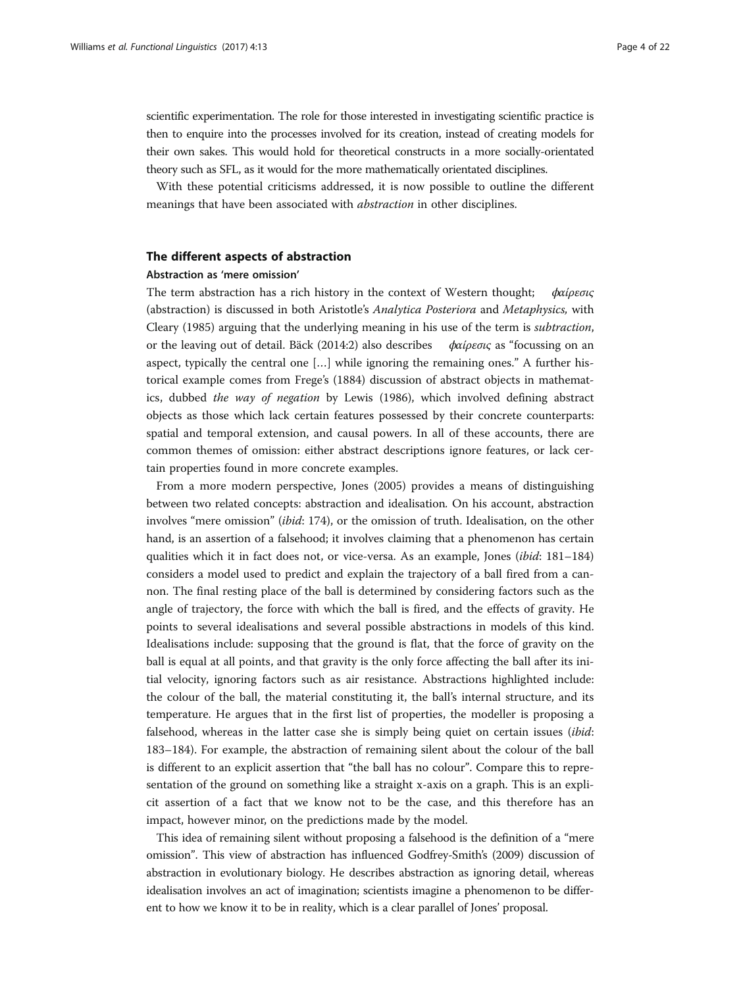scientific experimentation. The role for those interested in investigating scientific practice is then to enquire into the processes involved for its creation, instead of creating models for their own sakes. This would hold for theoretical constructs in a more socially-orientated theory such as SFL, as it would for the more mathematically orientated disciplines.

With these potential criticisms addressed, it is now possible to outline the different meanings that have been associated with abstraction in other disciplines.

## The different aspects of abstraction

## Abstraction as 'mere omission'

The term abstraction has a rich history in the context of Western thought;  $\phi \alpha i \rho \epsilon \sigma i \zeta$ (abstraction) is discussed in both Aristotle's Analytica Posteriora and Metaphysics, with Cleary ([1985\)](#page-20-0) arguing that the underlying meaning in his use of the term is subtraction, or the leaving out of detail. Bäck [\(2014:](#page-20-0)2) also describes  $\phi \alpha \iota \rho \epsilon \sigma \iota \sigma$  as "focussing on an aspect, typically the central one […] while ignoring the remaining ones." A further historical example comes from Frege's ([1884\)](#page-20-0) discussion of abstract objects in mathematics, dubbed the way of negation by Lewis [\(1986\)](#page-20-0), which involved defining abstract objects as those which lack certain features possessed by their concrete counterparts: spatial and temporal extension, and causal powers. In all of these accounts, there are common themes of omission: either abstract descriptions ignore features, or lack certain properties found in more concrete examples.

From a more modern perspective, Jones ([2005](#page-20-0)) provides a means of distinguishing between two related concepts: abstraction and idealisation. On his account, abstraction involves "mere omission" (ibid: 174), or the omission of truth. Idealisation, on the other hand, is an assertion of a falsehood; it involves claiming that a phenomenon has certain qualities which it in fact does not, or vice-versa. As an example, Jones (ibid: 181–184) considers a model used to predict and explain the trajectory of a ball fired from a cannon. The final resting place of the ball is determined by considering factors such as the angle of trajectory, the force with which the ball is fired, and the effects of gravity. He points to several idealisations and several possible abstractions in models of this kind. Idealisations include: supposing that the ground is flat, that the force of gravity on the ball is equal at all points, and that gravity is the only force affecting the ball after its initial velocity, ignoring factors such as air resistance. Abstractions highlighted include: the colour of the ball, the material constituting it, the ball's internal structure, and its temperature. He argues that in the first list of properties, the modeller is proposing a falsehood, whereas in the latter case she is simply being quiet on certain issues (ibid: 183–184). For example, the abstraction of remaining silent about the colour of the ball is different to an explicit assertion that "the ball has no colour". Compare this to representation of the ground on something like a straight x-axis on a graph. This is an explicit assertion of a fact that we know not to be the case, and this therefore has an impact, however minor, on the predictions made by the model.

This idea of remaining silent without proposing a falsehood is the definition of a "mere omission". This view of abstraction has influenced Godfrey-Smith's ([2009](#page-20-0)) discussion of abstraction in evolutionary biology. He describes abstraction as ignoring detail, whereas idealisation involves an act of imagination; scientists imagine a phenomenon to be different to how we know it to be in reality, which is a clear parallel of Jones' proposal.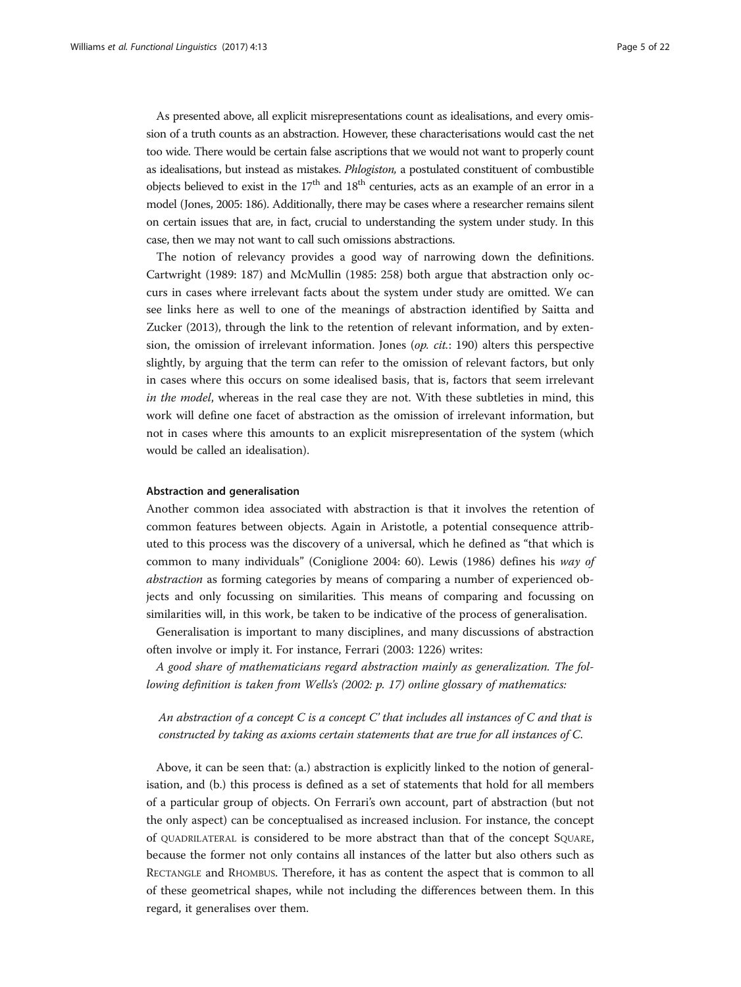As presented above, all explicit misrepresentations count as idealisations, and every omission of a truth counts as an abstraction. However, these characterisations would cast the net too wide. There would be certain false ascriptions that we would not want to properly count as idealisations, but instead as mistakes. Phlogiston, a postulated constituent of combustible objects believed to exist in the  $17<sup>th</sup>$  and  $18<sup>th</sup>$  centuries, acts as an example of an error in a model (Jones, [2005:](#page-20-0) 186). Additionally, there may be cases where a researcher remains silent on certain issues that are, in fact, crucial to understanding the system under study. In this case, then we may not want to call such omissions abstractions.

The notion of relevancy provides a good way of narrowing down the definitions. Cartwright [\(1989](#page-20-0): 187) and McMullin ([1985:](#page-21-0) 258) both argue that abstraction only occurs in cases where irrelevant facts about the system under study are omitted. We can see links here as well to one of the meanings of abstraction identified by Saitta and Zucker ([2013\)](#page-21-0), through the link to the retention of relevant information, and by extension, the omission of irrelevant information. Jones (op. cit.: 190) alters this perspective slightly, by arguing that the term can refer to the omission of relevant factors, but only in cases where this occurs on some idealised basis, that is, factors that seem irrelevant in the model, whereas in the real case they are not. With these subtleties in mind, this work will define one facet of abstraction as the omission of irrelevant information, but not in cases where this amounts to an explicit misrepresentation of the system (which would be called an idealisation).

## Abstraction and generalisation

Another common idea associated with abstraction is that it involves the retention of common features between objects. Again in Aristotle, a potential consequence attributed to this process was the discovery of a universal, which he defined as "that which is common to many individuals" (Coniglione [2004:](#page-20-0) 60). Lewis [\(1986\)](#page-20-0) defines his way of abstraction as forming categories by means of comparing a number of experienced objects and only focussing on similarities. This means of comparing and focussing on similarities will, in this work, be taken to be indicative of the process of generalisation.

Generalisation is important to many disciplines, and many discussions of abstraction often involve or imply it. For instance, Ferrari ([2003:](#page-20-0) 1226) writes:

A good share of mathematicians regard abstraction mainly as generalization. The following definition is taken from Wells's (2002: p. 17) online glossary of mathematics:

An abstraction of a concept C is a concept C' that includes all instances of C and that is constructed by taking as axioms certain statements that are true for all instances of C.

Above, it can be seen that: (a.) abstraction is explicitly linked to the notion of generalisation, and (b.) this process is defined as a set of statements that hold for all members of a particular group of objects. On Ferrari's own account, part of abstraction (but not the only aspect) can be conceptualised as increased inclusion. For instance, the concept of QUADRILATERAL is considered to be more abstract than that of the concept SQUARE, because the former not only contains all instances of the latter but also others such as RECTANGLE and RHOMBUS. Therefore, it has as content the aspect that is common to all of these geometrical shapes, while not including the differences between them. In this regard, it generalises over them.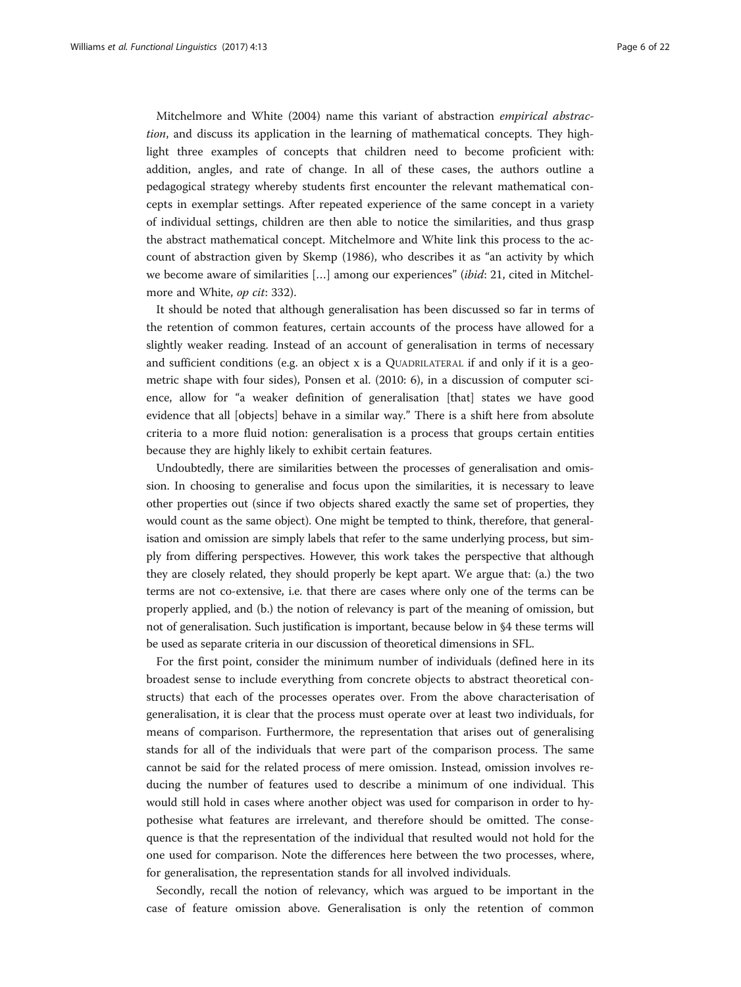Mitchelmore and White ([2004\)](#page-21-0) name this variant of abstraction empirical abstraction, and discuss its application in the learning of mathematical concepts. They highlight three examples of concepts that children need to become proficient with: addition, angles, and rate of change. In all of these cases, the authors outline a pedagogical strategy whereby students first encounter the relevant mathematical concepts in exemplar settings. After repeated experience of the same concept in a variety of individual settings, children are then able to notice the similarities, and thus grasp the abstract mathematical concept. Mitchelmore and White link this process to the account of abstraction given by Skemp [\(1986\)](#page-21-0), who describes it as "an activity by which we become aware of similarities [...] among our experiences" *(ibid: 21, cited in Mitchel*more and White, op cit: 332).

It should be noted that although generalisation has been discussed so far in terms of the retention of common features, certain accounts of the process have allowed for a slightly weaker reading. Instead of an account of generalisation in terms of necessary and sufficient conditions (e.g. an object x is a QUADRILATERAL if and only if it is a geometric shape with four sides), Ponsen et al. ([2010](#page-21-0): 6), in a discussion of computer science, allow for "a weaker definition of generalisation [that] states we have good evidence that all [objects] behave in a similar way." There is a shift here from absolute criteria to a more fluid notion: generalisation is a process that groups certain entities because they are highly likely to exhibit certain features.

Undoubtedly, there are similarities between the processes of generalisation and omission. In choosing to generalise and focus upon the similarities, it is necessary to leave other properties out (since if two objects shared exactly the same set of properties, they would count as the same object). One might be tempted to think, therefore, that generalisation and omission are simply labels that refer to the same underlying process, but simply from differing perspectives. However, this work takes the perspective that although they are closely related, they should properly be kept apart. We argue that: (a.) the two terms are not co-extensive, i.e. that there are cases where only one of the terms can be properly applied, and (b.) the notion of relevancy is part of the meaning of omission, but not of generalisation. Such justification is important, because below in §4 these terms will be used as separate criteria in our discussion of theoretical dimensions in SFL.

For the first point, consider the minimum number of individuals (defined here in its broadest sense to include everything from concrete objects to abstract theoretical constructs) that each of the processes operates over. From the above characterisation of generalisation, it is clear that the process must operate over at least two individuals, for means of comparison. Furthermore, the representation that arises out of generalising stands for all of the individuals that were part of the comparison process. The same cannot be said for the related process of mere omission. Instead, omission involves reducing the number of features used to describe a minimum of one individual. This would still hold in cases where another object was used for comparison in order to hypothesise what features are irrelevant, and therefore should be omitted. The consequence is that the representation of the individual that resulted would not hold for the one used for comparison. Note the differences here between the two processes, where, for generalisation, the representation stands for all involved individuals.

Secondly, recall the notion of relevancy, which was argued to be important in the case of feature omission above. Generalisation is only the retention of common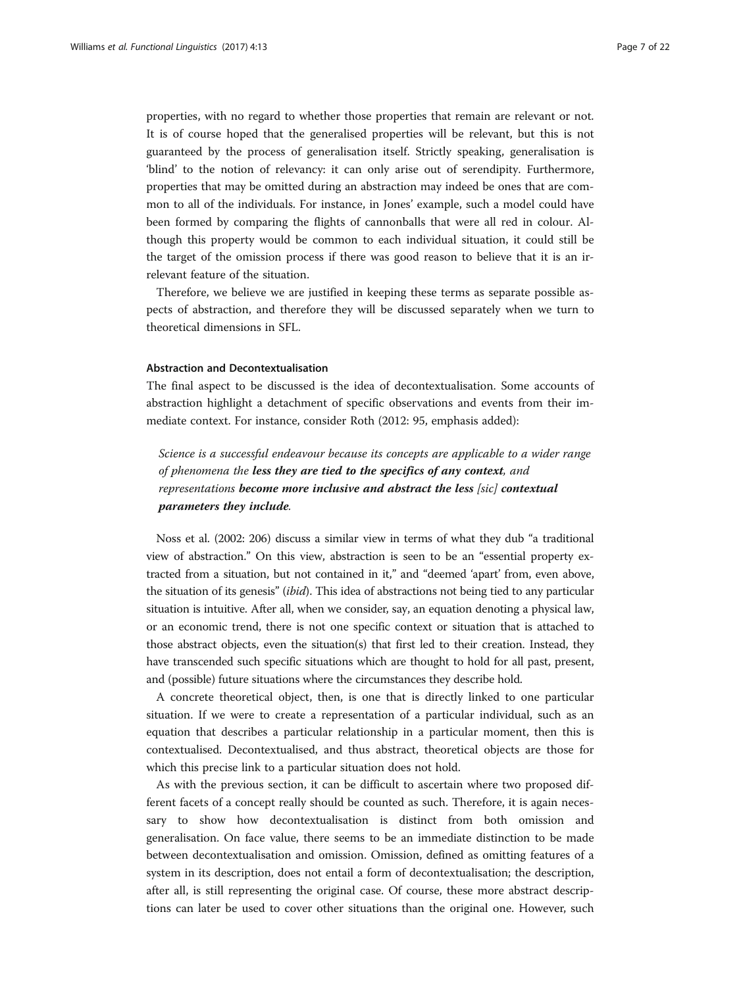properties, with no regard to whether those properties that remain are relevant or not. It is of course hoped that the generalised properties will be relevant, but this is not guaranteed by the process of generalisation itself. Strictly speaking, generalisation is 'blind' to the notion of relevancy: it can only arise out of serendipity. Furthermore, properties that may be omitted during an abstraction may indeed be ones that are common to all of the individuals. For instance, in Jones' example, such a model could have been formed by comparing the flights of cannonballs that were all red in colour. Although this property would be common to each individual situation, it could still be the target of the omission process if there was good reason to believe that it is an irrelevant feature of the situation.

Therefore, we believe we are justified in keeping these terms as separate possible aspects of abstraction, and therefore they will be discussed separately when we turn to theoretical dimensions in SFL.

#### Abstraction and Decontextualisation

The final aspect to be discussed is the idea of decontextualisation. Some accounts of abstraction highlight a detachment of specific observations and events from their immediate context. For instance, consider Roth [\(2012:](#page-21-0) 95, emphasis added):

Science is a successful endeavour because its concepts are applicable to a wider range of phenomena the less they are tied to the specifics of any context, and representations become more inclusive and abstract the less [sic] contextual parameters they include.

Noss et al. [\(2002:](#page-21-0) 206) discuss a similar view in terms of what they dub "a traditional view of abstraction." On this view, abstraction is seen to be an "essential property extracted from a situation, but not contained in it," and "deemed 'apart' from, even above, the situation of its genesis" (ibid). This idea of abstractions not being tied to any particular situation is intuitive. After all, when we consider, say, an equation denoting a physical law, or an economic trend, there is not one specific context or situation that is attached to those abstract objects, even the situation(s) that first led to their creation. Instead, they have transcended such specific situations which are thought to hold for all past, present, and (possible) future situations where the circumstances they describe hold.

A concrete theoretical object, then, is one that is directly linked to one particular situation. If we were to create a representation of a particular individual, such as an equation that describes a particular relationship in a particular moment, then this is contextualised. Decontextualised, and thus abstract, theoretical objects are those for which this precise link to a particular situation does not hold.

As with the previous section, it can be difficult to ascertain where two proposed different facets of a concept really should be counted as such. Therefore, it is again necessary to show how decontextualisation is distinct from both omission and generalisation. On face value, there seems to be an immediate distinction to be made between decontextualisation and omission. Omission, defined as omitting features of a system in its description, does not entail a form of decontextualisation; the description, after all, is still representing the original case. Of course, these more abstract descriptions can later be used to cover other situations than the original one. However, such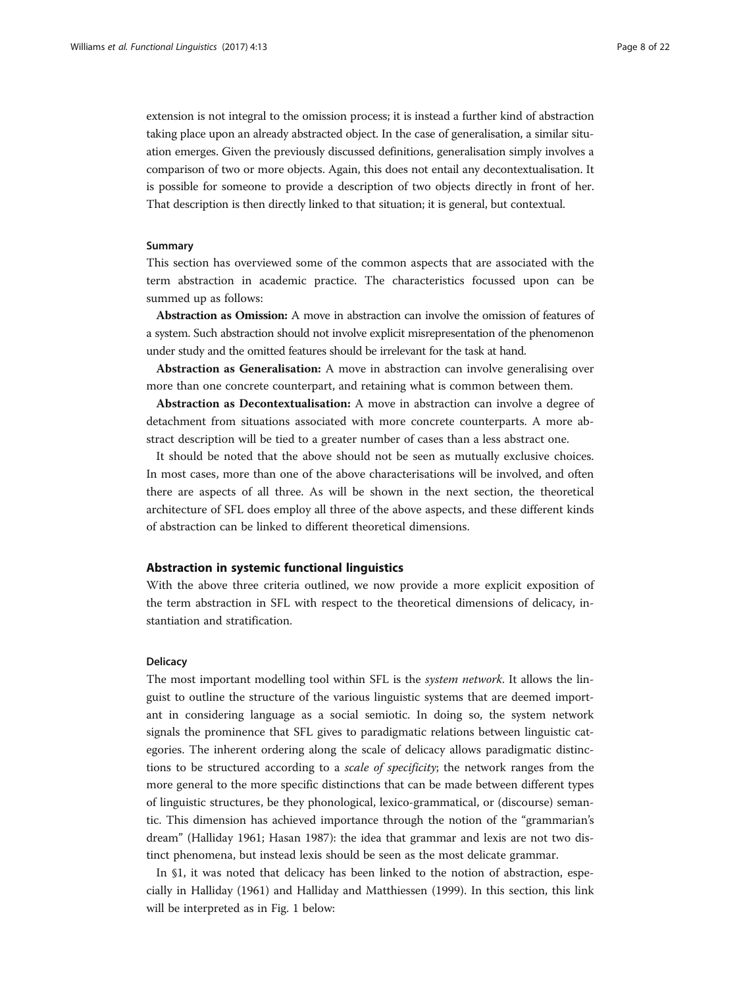extension is not integral to the omission process; it is instead a further kind of abstraction taking place upon an already abstracted object. In the case of generalisation, a similar situation emerges. Given the previously discussed definitions, generalisation simply involves a comparison of two or more objects. Again, this does not entail any decontextualisation. It is possible for someone to provide a description of two objects directly in front of her. That description is then directly linked to that situation; it is general, but contextual.

#### Summary

This section has overviewed some of the common aspects that are associated with the term abstraction in academic practice. The characteristics focussed upon can be summed up as follows:

Abstraction as Omission: A move in abstraction can involve the omission of features of a system. Such abstraction should not involve explicit misrepresentation of the phenomenon under study and the omitted features should be irrelevant for the task at hand.

Abstraction as Generalisation: A move in abstraction can involve generalising over more than one concrete counterpart, and retaining what is common between them.

Abstraction as Decontextualisation: A move in abstraction can involve a degree of detachment from situations associated with more concrete counterparts. A more abstract description will be tied to a greater number of cases than a less abstract one.

It should be noted that the above should not be seen as mutually exclusive choices. In most cases, more than one of the above characterisations will be involved, and often there are aspects of all three. As will be shown in the next section, the theoretical architecture of SFL does employ all three of the above aspects, and these different kinds of abstraction can be linked to different theoretical dimensions.

## Abstraction in systemic functional linguistics

With the above three criteria outlined, we now provide a more explicit exposition of the term abstraction in SFL with respect to the theoretical dimensions of delicacy, instantiation and stratification.

### **Delicacy**

The most important modelling tool within SFL is the system network. It allows the linguist to outline the structure of the various linguistic systems that are deemed important in considering language as a social semiotic. In doing so, the system network signals the prominence that SFL gives to paradigmatic relations between linguistic categories. The inherent ordering along the scale of delicacy allows paradigmatic distinctions to be structured according to a *scale of specificity*; the network ranges from the more general to the more specific distinctions that can be made between different types of linguistic structures, be they phonological, lexico-grammatical, or (discourse) semantic. This dimension has achieved importance through the notion of the "grammarian's dream" (Halliday [1961;](#page-20-0) Hasan [1987\)](#page-20-0): the idea that grammar and lexis are not two distinct phenomena, but instead lexis should be seen as the most delicate grammar.

In §1, it was noted that delicacy has been linked to the notion of abstraction, especially in Halliday ([1961](#page-20-0)) and Halliday and Matthiessen [\(1999\)](#page-20-0). In this section, this link will be interpreted as in Fig. [1](#page-8-0) below: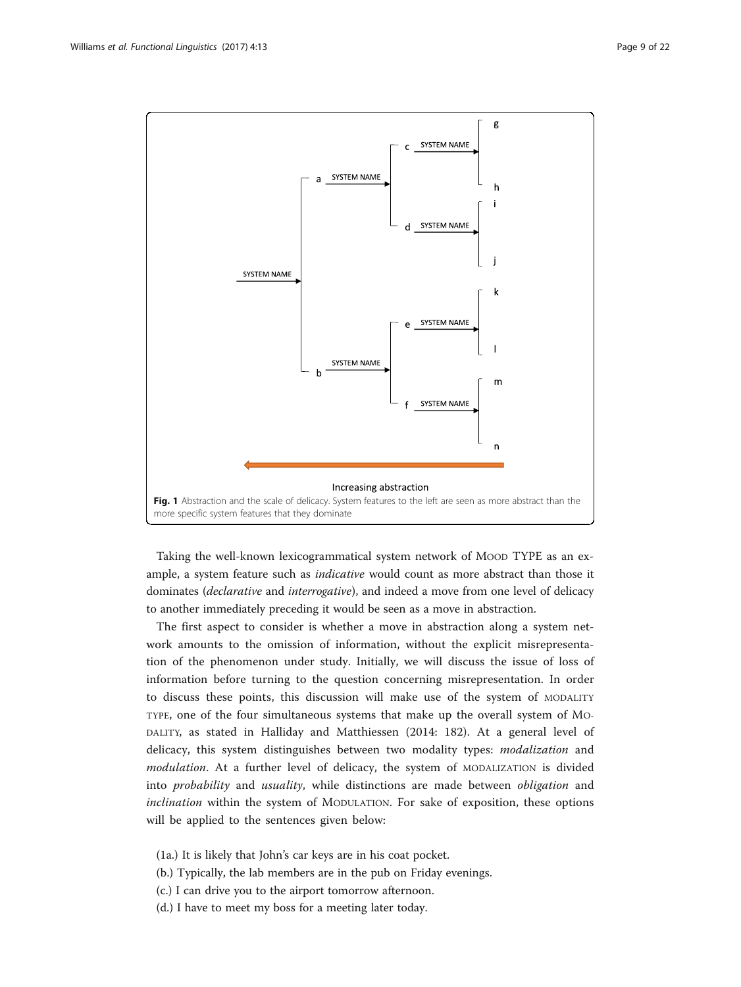<span id="page-8-0"></span>

Taking the well-known lexicogrammatical system network of MOOD TYPE as an example, a system feature such as indicative would count as more abstract than those it dominates (*declarative* and *interrogative*), and indeed a move from one level of delicacy to another immediately preceding it would be seen as a move in abstraction.

The first aspect to consider is whether a move in abstraction along a system network amounts to the omission of information, without the explicit misrepresentation of the phenomenon under study. Initially, we will discuss the issue of loss of information before turning to the question concerning misrepresentation. In order to discuss these points, this discussion will make use of the system of MODALITY TYPE, one of the four simultaneous systems that make up the overall system of MO-DALITY, as stated in Halliday and Matthiessen ([2014:](#page-20-0) 182). At a general level of delicacy, this system distinguishes between two modality types: *modalization* and modulation. At a further level of delicacy, the system of MODALIZATION is divided into *probability* and *usuality*, while distinctions are made between *obligation* and inclination within the system of MODULATION. For sake of exposition, these options will be applied to the sentences given below:

- (1a.) It is likely that John's car keys are in his coat pocket.
- (b.) Typically, the lab members are in the pub on Friday evenings.
- (c.) I can drive you to the airport tomorrow afternoon.
- (d.) I have to meet my boss for a meeting later today.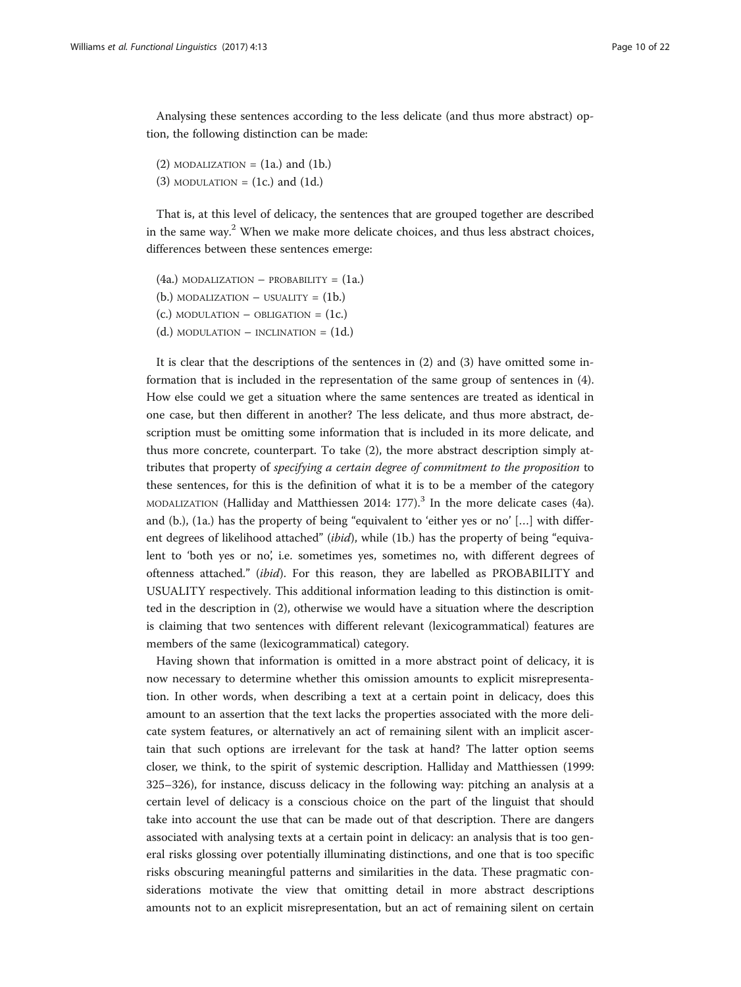Analysing these sentences according to the less delicate (and thus more abstract) option, the following distinction can be made:

- $(2)$  MODALIZATION =  $(1a)$  and  $(1b)$ .
- $(3)$  MODULATION =  $(1c)$  and  $(1d)$

That is, at this level of delicacy, the sentences that are grouped together are described in the same way. $2$  When we make more delicate choices, and thus less abstract choices, differences between these sentences emerge:

 $(4a.)$  MODALIZATION – PROBABILITY =  $(1a.)$  $(b.)$  MODALIZATION – USUALITY =  $(1b.)$  $(c.)$  MODULATION – OBLIGATION =  $(1c.)$  $(d.)$  MODULATION – INCLINATION =  $(1d.)$ 

It is clear that the descriptions of the sentences in (2) and (3) have omitted some information that is included in the representation of the same group of sentences in (4). How else could we get a situation where the same sentences are treated as identical in one case, but then different in another? The less delicate, and thus more abstract, description must be omitting some information that is included in its more delicate, and thus more concrete, counterpart. To take (2), the more abstract description simply attributes that property of specifying a certain degree of commitment to the proposition to these sentences, for this is the definition of what it is to be a member of the category MODALIZATION (Halliday and Matthiessen [2014:](#page-20-0) 177).<sup>3</sup> In the more delicate cases (4a). and (b.), (1a.) has the property of being "equivalent to 'either yes or no' […] with different degrees of likelihood attached" (ibid), while (1b.) has the property of being "equivalent to 'both yes or no', i.e. sometimes yes, sometimes no, with different degrees of oftenness attached." (ibid). For this reason, they are labelled as PROBABILITY and USUALITY respectively. This additional information leading to this distinction is omitted in the description in (2), otherwise we would have a situation where the description is claiming that two sentences with different relevant (lexicogrammatical) features are members of the same (lexicogrammatical) category.

Having shown that information is omitted in a more abstract point of delicacy, it is now necessary to determine whether this omission amounts to explicit misrepresentation. In other words, when describing a text at a certain point in delicacy, does this amount to an assertion that the text lacks the properties associated with the more delicate system features, or alternatively an act of remaining silent with an implicit ascertain that such options are irrelevant for the task at hand? The latter option seems closer, we think, to the spirit of systemic description. Halliday and Matthiessen ([1999](#page-20-0): 325–326), for instance, discuss delicacy in the following way: pitching an analysis at a certain level of delicacy is a conscious choice on the part of the linguist that should take into account the use that can be made out of that description. There are dangers associated with analysing texts at a certain point in delicacy: an analysis that is too general risks glossing over potentially illuminating distinctions, and one that is too specific risks obscuring meaningful patterns and similarities in the data. These pragmatic considerations motivate the view that omitting detail in more abstract descriptions amounts not to an explicit misrepresentation, but an act of remaining silent on certain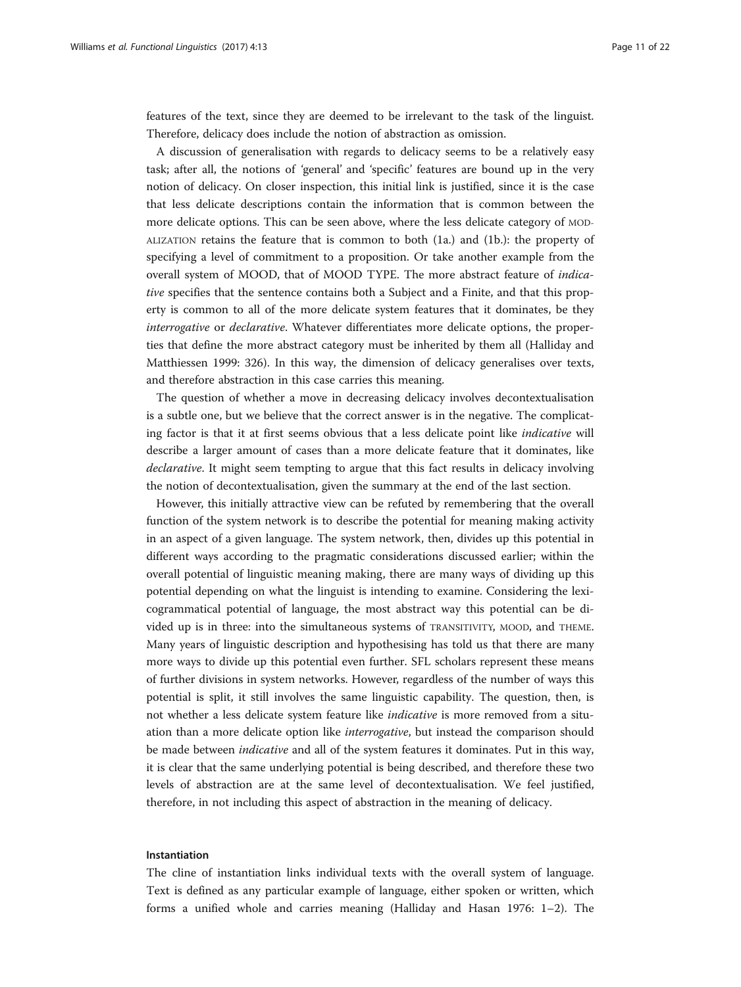features of the text, since they are deemed to be irrelevant to the task of the linguist. Therefore, delicacy does include the notion of abstraction as omission.

A discussion of generalisation with regards to delicacy seems to be a relatively easy task; after all, the notions of 'general' and 'specific' features are bound up in the very notion of delicacy. On closer inspection, this initial link is justified, since it is the case that less delicate descriptions contain the information that is common between the more delicate options. This can be seen above, where the less delicate category of MOD-ALIZATION retains the feature that is common to both (1a.) and (1b.): the property of specifying a level of commitment to a proposition. Or take another example from the overall system of MOOD, that of MOOD TYPE. The more abstract feature of indicative specifies that the sentence contains both a Subject and a Finite, and that this property is common to all of the more delicate system features that it dominates, be they interrogative or declarative. Whatever differentiates more delicate options, the properties that define the more abstract category must be inherited by them all (Halliday and Matthiessen [1999:](#page-20-0) 326). In this way, the dimension of delicacy generalises over texts, and therefore abstraction in this case carries this meaning.

The question of whether a move in decreasing delicacy involves decontextualisation is a subtle one, but we believe that the correct answer is in the negative. The complicating factor is that it at first seems obvious that a less delicate point like indicative will describe a larger amount of cases than a more delicate feature that it dominates, like declarative. It might seem tempting to argue that this fact results in delicacy involving the notion of decontextualisation, given the summary at the end of the last section.

However, this initially attractive view can be refuted by remembering that the overall function of the system network is to describe the potential for meaning making activity in an aspect of a given language. The system network, then, divides up this potential in different ways according to the pragmatic considerations discussed earlier; within the overall potential of linguistic meaning making, there are many ways of dividing up this potential depending on what the linguist is intending to examine. Considering the lexicogrammatical potential of language, the most abstract way this potential can be divided up is in three: into the simultaneous systems of TRANSITIVITY, MOOD, and THEME. Many years of linguistic description and hypothesising has told us that there are many more ways to divide up this potential even further. SFL scholars represent these means of further divisions in system networks. However, regardless of the number of ways this potential is split, it still involves the same linguistic capability. The question, then, is not whether a less delicate system feature like indicative is more removed from a situation than a more delicate option like *interrogative*, but instead the comparison should be made between indicative and all of the system features it dominates. Put in this way, it is clear that the same underlying potential is being described, and therefore these two levels of abstraction are at the same level of decontextualisation. We feel justified, therefore, in not including this aspect of abstraction in the meaning of delicacy.

#### Instantiation

The cline of instantiation links individual texts with the overall system of language. Text is defined as any particular example of language, either spoken or written, which forms a unified whole and carries meaning (Halliday and Hasan [1976](#page-20-0): 1–2). The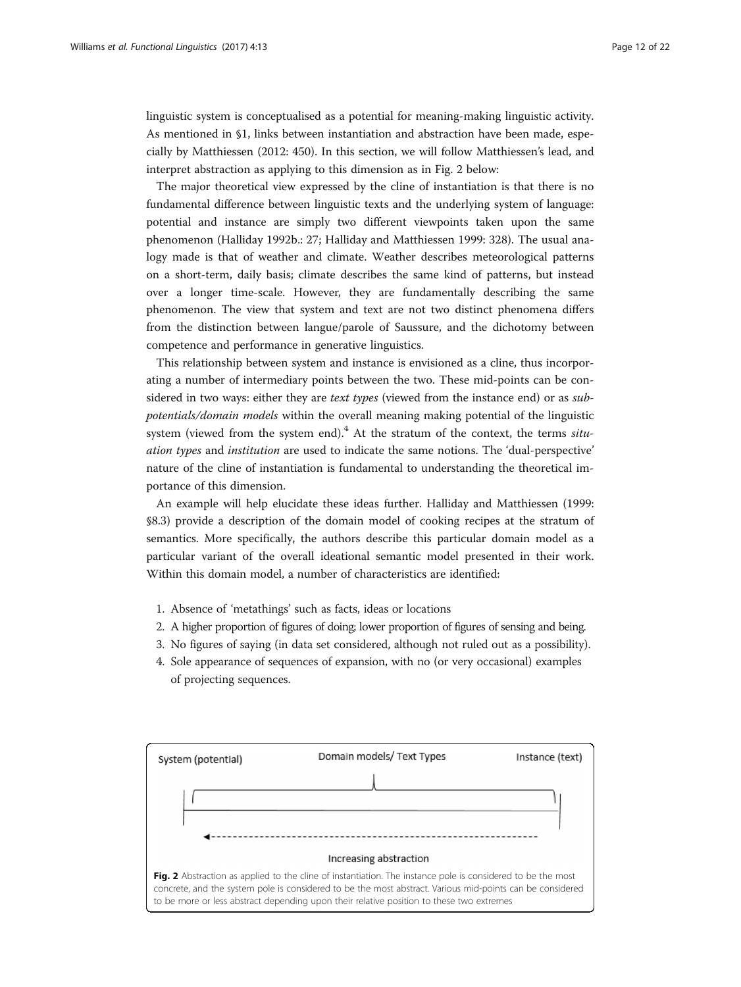linguistic system is conceptualised as a potential for meaning-making linguistic activity. As mentioned in §1, links between instantiation and abstraction have been made, especially by Matthiessen [\(2012:](#page-21-0) 450). In this section, we will follow Matthiessen's lead, and interpret abstraction as applying to this dimension as in Fig. 2 below:

The major theoretical view expressed by the cline of instantiation is that there is no fundamental difference between linguistic texts and the underlying system of language: potential and instance are simply two different viewpoints taken upon the same phenomenon (Halliday [1992b](#page-20-0).: 27; Halliday and Matthiessen [1999](#page-20-0): 328). The usual analogy made is that of weather and climate. Weather describes meteorological patterns on a short-term, daily basis; climate describes the same kind of patterns, but instead over a longer time-scale. However, they are fundamentally describing the same phenomenon. The view that system and text are not two distinct phenomena differs from the distinction between langue/parole of Saussure, and the dichotomy between competence and performance in generative linguistics.

This relationship between system and instance is envisioned as a cline, thus incorporating a number of intermediary points between the two. These mid-points can be considered in two ways: either they are text types (viewed from the instance end) or as subpotentials/domain models within the overall meaning making potential of the linguistic system (viewed from the system end). $4$  At the stratum of the context, the terms situation types and institution are used to indicate the same notions. The 'dual-perspective' nature of the cline of instantiation is fundamental to understanding the theoretical importance of this dimension.

An example will help elucidate these ideas further. Halliday and Matthiessen ([1999](#page-20-0): §8.3) provide a description of the domain model of cooking recipes at the stratum of semantics. More specifically, the authors describe this particular domain model as a particular variant of the overall ideational semantic model presented in their work. Within this domain model, a number of characteristics are identified:

- 1. Absence of 'metathings' such as facts, ideas or locations
- 2. A higher proportion of figures of doing; lower proportion of figures of sensing and being.
- 3. No figures of saying (in data set considered, although not ruled out as a possibility).
- 4. Sole appearance of sequences of expansion, with no (or very occasional) examples of projecting sequences.

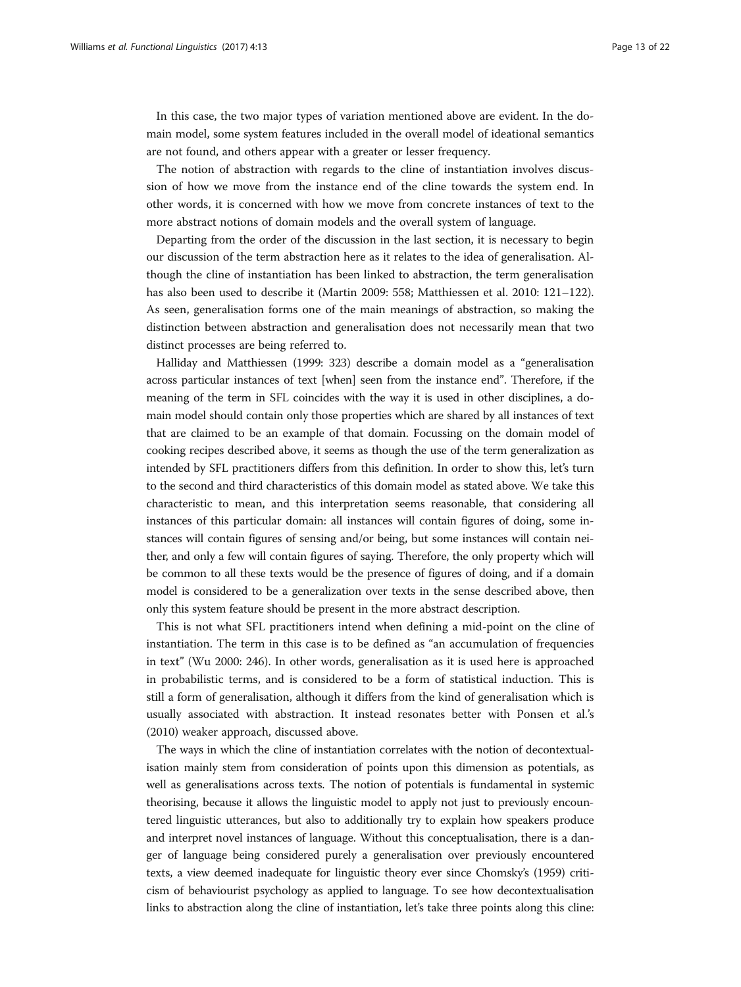In this case, the two major types of variation mentioned above are evident. In the domain model, some system features included in the overall model of ideational semantics are not found, and others appear with a greater or lesser frequency.

The notion of abstraction with regards to the cline of instantiation involves discussion of how we move from the instance end of the cline towards the system end. In other words, it is concerned with how we move from concrete instances of text to the more abstract notions of domain models and the overall system of language.

Departing from the order of the discussion in the last section, it is necessary to begin our discussion of the term abstraction here as it relates to the idea of generalisation. Although the cline of instantiation has been linked to abstraction, the term generalisation has also been used to describe it (Martin [2009](#page-20-0): 558; Matthiessen et al. [2010](#page-21-0): 121–122). As seen, generalisation forms one of the main meanings of abstraction, so making the distinction between abstraction and generalisation does not necessarily mean that two distinct processes are being referred to.

Halliday and Matthiessen ([1999:](#page-20-0) 323) describe a domain model as a "generalisation across particular instances of text [when] seen from the instance end". Therefore, if the meaning of the term in SFL coincides with the way it is used in other disciplines, a domain model should contain only those properties which are shared by all instances of text that are claimed to be an example of that domain. Focussing on the domain model of cooking recipes described above, it seems as though the use of the term generalization as intended by SFL practitioners differs from this definition. In order to show this, let's turn to the second and third characteristics of this domain model as stated above. We take this characteristic to mean, and this interpretation seems reasonable, that considering all instances of this particular domain: all instances will contain figures of doing, some instances will contain figures of sensing and/or being, but some instances will contain neither, and only a few will contain figures of saying. Therefore, the only property which will be common to all these texts would be the presence of figures of doing, and if a domain model is considered to be a generalization over texts in the sense described above, then only this system feature should be present in the more abstract description.

This is not what SFL practitioners intend when defining a mid-point on the cline of instantiation. The term in this case is to be defined as "an accumulation of frequencies in text" (Wu [2000](#page-21-0): 246). In other words, generalisation as it is used here is approached in probabilistic terms, and is considered to be a form of statistical induction. This is still a form of generalisation, although it differs from the kind of generalisation which is usually associated with abstraction. It instead resonates better with Ponsen et al.'s ([2010](#page-21-0)) weaker approach, discussed above.

The ways in which the cline of instantiation correlates with the notion of decontextualisation mainly stem from consideration of points upon this dimension as potentials, as well as generalisations across texts. The notion of potentials is fundamental in systemic theorising, because it allows the linguistic model to apply not just to previously encountered linguistic utterances, but also to additionally try to explain how speakers produce and interpret novel instances of language. Without this conceptualisation, there is a danger of language being considered purely a generalisation over previously encountered texts, a view deemed inadequate for linguistic theory ever since Chomsky's [\(1959](#page-20-0)) criticism of behaviourist psychology as applied to language. To see how decontextualisation links to abstraction along the cline of instantiation, let's take three points along this cline: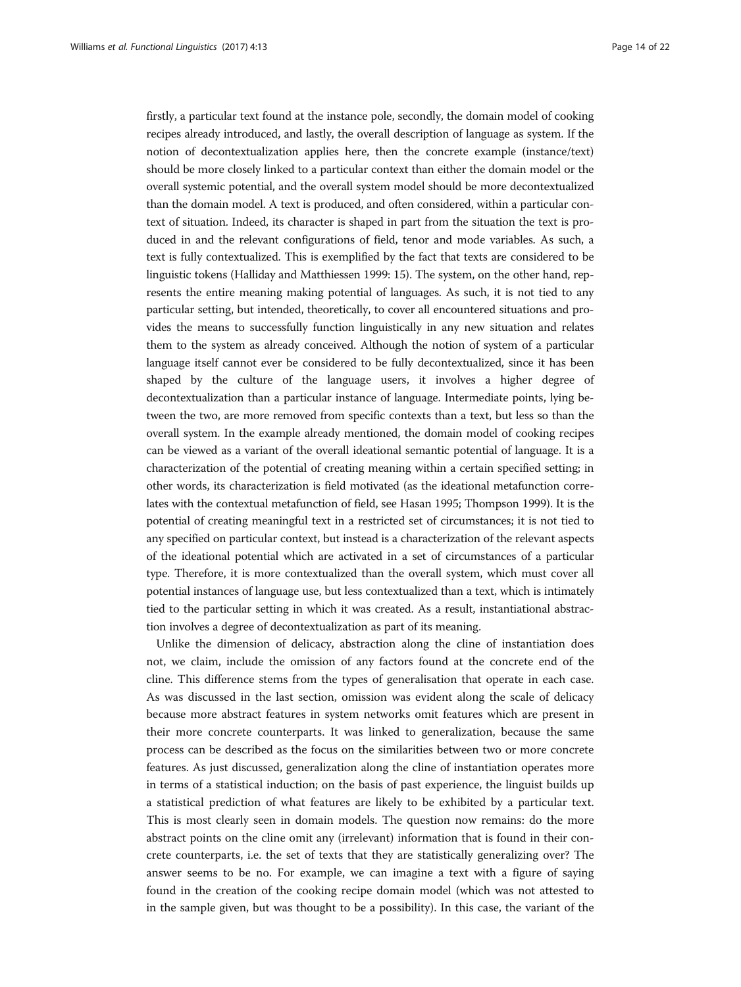firstly, a particular text found at the instance pole, secondly, the domain model of cooking recipes already introduced, and lastly, the overall description of language as system. If the notion of decontextualization applies here, then the concrete example (instance/text) should be more closely linked to a particular context than either the domain model or the overall systemic potential, and the overall system model should be more decontextualized than the domain model. A text is produced, and often considered, within a particular context of situation. Indeed, its character is shaped in part from the situation the text is produced in and the relevant configurations of field, tenor and mode variables. As such, a text is fully contextualized. This is exemplified by the fact that texts are considered to be linguistic tokens (Halliday and Matthiessen [1999:](#page-20-0) 15). The system, on the other hand, represents the entire meaning making potential of languages. As such, it is not tied to any particular setting, but intended, theoretically, to cover all encountered situations and provides the means to successfully function linguistically in any new situation and relates them to the system as already conceived. Although the notion of system of a particular language itself cannot ever be considered to be fully decontextualized, since it has been shaped by the culture of the language users, it involves a higher degree of decontextualization than a particular instance of language. Intermediate points, lying between the two, are more removed from specific contexts than a text, but less so than the overall system. In the example already mentioned, the domain model of cooking recipes can be viewed as a variant of the overall ideational semantic potential of language. It is a characterization of the potential of creating meaning within a certain specified setting; in other words, its characterization is field motivated (as the ideational metafunction correlates with the contextual metafunction of field, see Hasan [1995;](#page-20-0) Thompson [1999](#page-21-0)). It is the potential of creating meaningful text in a restricted set of circumstances; it is not tied to any specified on particular context, but instead is a characterization of the relevant aspects of the ideational potential which are activated in a set of circumstances of a particular type. Therefore, it is more contextualized than the overall system, which must cover all potential instances of language use, but less contextualized than a text, which is intimately tied to the particular setting in which it was created. As a result, instantiational abstraction involves a degree of decontextualization as part of its meaning.

Unlike the dimension of delicacy, abstraction along the cline of instantiation does not, we claim, include the omission of any factors found at the concrete end of the cline. This difference stems from the types of generalisation that operate in each case. As was discussed in the last section, omission was evident along the scale of delicacy because more abstract features in system networks omit features which are present in their more concrete counterparts. It was linked to generalization, because the same process can be described as the focus on the similarities between two or more concrete features. As just discussed, generalization along the cline of instantiation operates more in terms of a statistical induction; on the basis of past experience, the linguist builds up a statistical prediction of what features are likely to be exhibited by a particular text. This is most clearly seen in domain models. The question now remains: do the more abstract points on the cline omit any (irrelevant) information that is found in their concrete counterparts, i.e. the set of texts that they are statistically generalizing over? The answer seems to be no. For example, we can imagine a text with a figure of saying found in the creation of the cooking recipe domain model (which was not attested to in the sample given, but was thought to be a possibility). In this case, the variant of the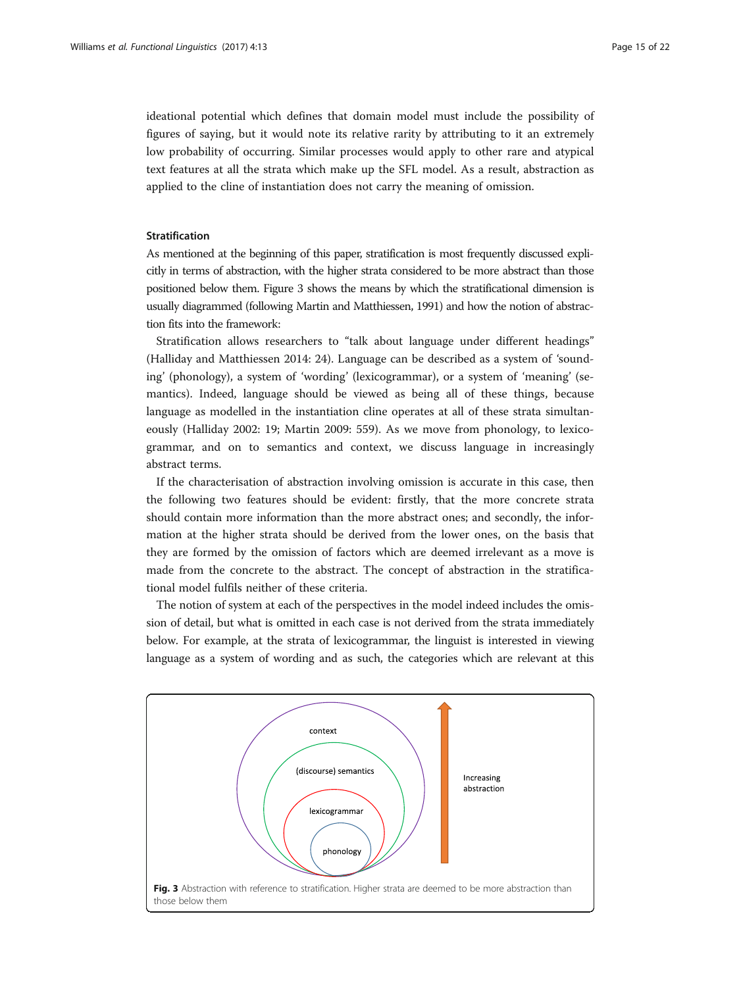ideational potential which defines that domain model must include the possibility of figures of saying, but it would note its relative rarity by attributing to it an extremely low probability of occurring. Similar processes would apply to other rare and atypical text features at all the strata which make up the SFL model. As a result, abstraction as applied to the cline of instantiation does not carry the meaning of omission.

## Stratification

As mentioned at the beginning of this paper, stratification is most frequently discussed explicitly in terms of abstraction, with the higher strata considered to be more abstract than those positioned below them. Figure 3 shows the means by which the stratificational dimension is usually diagrammed (following Martin and Matthiessen, [1991](#page-21-0)) and how the notion of abstraction fits into the framework:

Stratification allows researchers to "talk about language under different headings" (Halliday and Matthiessen [2014](#page-20-0): 24). Language can be described as a system of 'sounding' (phonology), a system of 'wording' (lexicogrammar), or a system of 'meaning' (semantics). Indeed, language should be viewed as being all of these things, because language as modelled in the instantiation cline operates at all of these strata simultaneously (Halliday [2002](#page-20-0): 19; Martin [2009:](#page-20-0) 559). As we move from phonology, to lexicogrammar, and on to semantics and context, we discuss language in increasingly abstract terms.

If the characterisation of abstraction involving omission is accurate in this case, then the following two features should be evident: firstly, that the more concrete strata should contain more information than the more abstract ones; and secondly, the information at the higher strata should be derived from the lower ones, on the basis that they are formed by the omission of factors which are deemed irrelevant as a move is made from the concrete to the abstract. The concept of abstraction in the stratificational model fulfils neither of these criteria.

The notion of system at each of the perspectives in the model indeed includes the omission of detail, but what is omitted in each case is not derived from the strata immediately below. For example, at the strata of lexicogrammar, the linguist is interested in viewing language as a system of wording and as such, the categories which are relevant at this

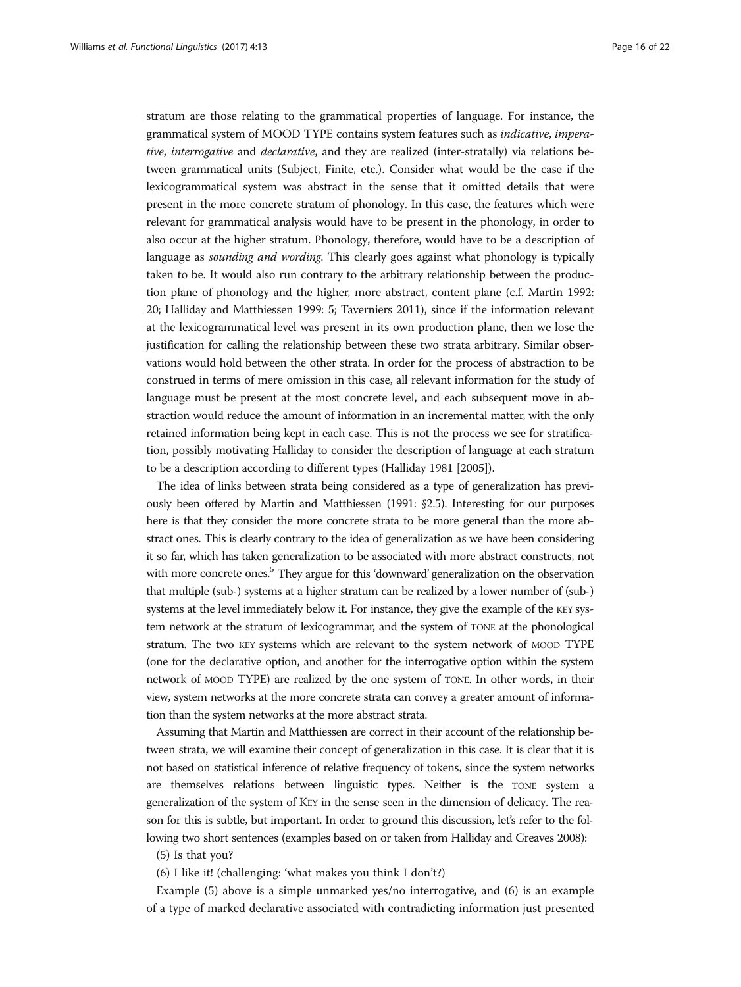stratum are those relating to the grammatical properties of language. For instance, the grammatical system of MOOD TYPE contains system features such as indicative, imperative, interrogative and *declarative*, and they are realized (inter-stratally) via relations between grammatical units (Subject, Finite, etc.). Consider what would be the case if the lexicogrammatical system was abstract in the sense that it omitted details that were present in the more concrete stratum of phonology. In this case, the features which were relevant for grammatical analysis would have to be present in the phonology, in order to also occur at the higher stratum. Phonology, therefore, would have to be a description of language as *sounding and wording*. This clearly goes against what phonology is typically taken to be. It would also run contrary to the arbitrary relationship between the production plane of phonology and the higher, more abstract, content plane (c.f. Martin [1992](#page-20-0): 20; Halliday and Matthiessen [1999](#page-20-0): 5; Taverniers [2011](#page-21-0)), since if the information relevant at the lexicogrammatical level was present in its own production plane, then we lose the justification for calling the relationship between these two strata arbitrary. Similar observations would hold between the other strata. In order for the process of abstraction to be construed in terms of mere omission in this case, all relevant information for the study of language must be present at the most concrete level, and each subsequent move in abstraction would reduce the amount of information in an incremental matter, with the only retained information being kept in each case. This is not the process we see for stratification, possibly motivating Halliday to consider the description of language at each stratum to be a description according to different types (Halliday [1981](#page-20-0) [2005]).

The idea of links between strata being considered as a type of generalization has previously been offered by Martin and Matthiessen [\(1991:](#page-21-0) §2.5). Interesting for our purposes here is that they consider the more concrete strata to be more general than the more abstract ones. This is clearly contrary to the idea of generalization as we have been considering it so far, which has taken generalization to be associated with more abstract constructs, not with more concrete ones.<sup>5</sup> They argue for this 'downward' generalization on the observation that multiple (sub-) systems at a higher stratum can be realized by a lower number of (sub-) systems at the level immediately below it. For instance, they give the example of the KEY system network at the stratum of lexicogrammar, and the system of TONE at the phonological stratum. The two KEY systems which are relevant to the system network of MOOD TYPE (one for the declarative option, and another for the interrogative option within the system network of MOOD TYPE) are realized by the one system of TONE. In other words, in their view, system networks at the more concrete strata can convey a greater amount of information than the system networks at the more abstract strata.

Assuming that Martin and Matthiessen are correct in their account of the relationship between strata, we will examine their concept of generalization in this case. It is clear that it is not based on statistical inference of relative frequency of tokens, since the system networks are themselves relations between linguistic types. Neither is the TONE system a generalization of the system of KEY in the sense seen in the dimension of delicacy. The reason for this is subtle, but important. In order to ground this discussion, let's refer to the following two short sentences (examples based on or taken from Halliday and Greaves [2008](#page-20-0)):

(5) Is that you?

(6) I like it! (challenging: 'what makes you think I don't?)

Example (5) above is a simple unmarked yes/no interrogative, and (6) is an example of a type of marked declarative associated with contradicting information just presented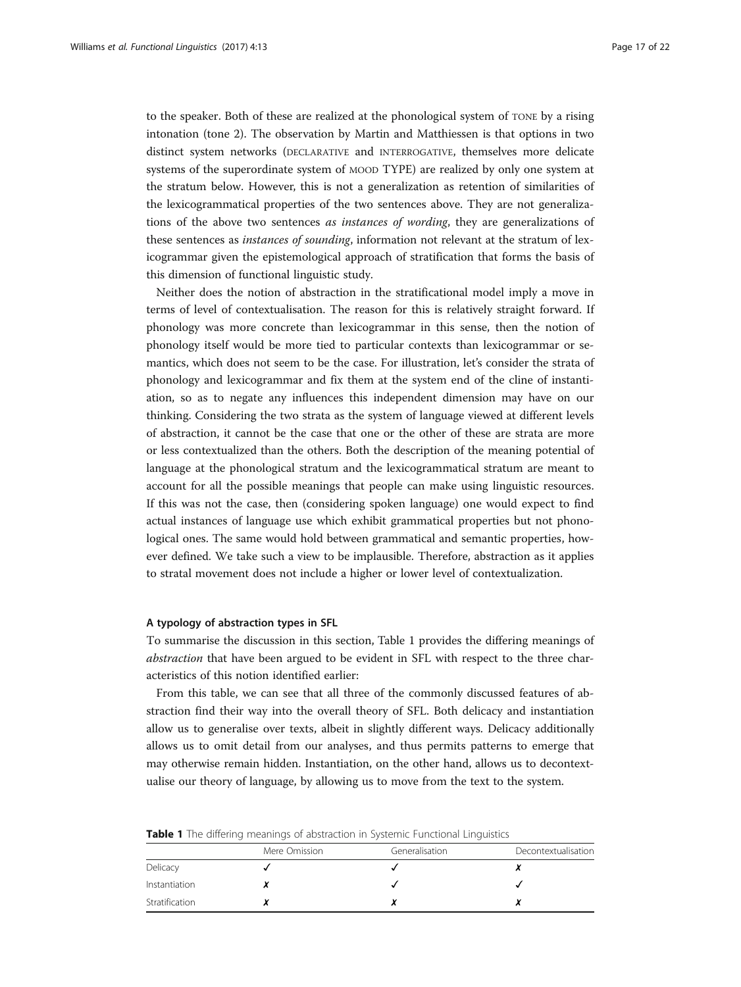to the speaker. Both of these are realized at the phonological system of TONE by a rising intonation (tone 2). The observation by Martin and Matthiessen is that options in two distinct system networks (DECLARATIVE and INTERROGATIVE, themselves more delicate systems of the superordinate system of MOOD TYPE) are realized by only one system at the stratum below. However, this is not a generalization as retention of similarities of the lexicogrammatical properties of the two sentences above. They are not generalizations of the above two sentences as instances of wording, they are generalizations of these sentences as instances of sounding, information not relevant at the stratum of lexicogrammar given the epistemological approach of stratification that forms the basis of this dimension of functional linguistic study.

Neither does the notion of abstraction in the stratificational model imply a move in terms of level of contextualisation. The reason for this is relatively straight forward. If phonology was more concrete than lexicogrammar in this sense, then the notion of phonology itself would be more tied to particular contexts than lexicogrammar or semantics, which does not seem to be the case. For illustration, let's consider the strata of phonology and lexicogrammar and fix them at the system end of the cline of instantiation, so as to negate any influences this independent dimension may have on our thinking. Considering the two strata as the system of language viewed at different levels of abstraction, it cannot be the case that one or the other of these are strata are more or less contextualized than the others. Both the description of the meaning potential of language at the phonological stratum and the lexicogrammatical stratum are meant to account for all the possible meanings that people can make using linguistic resources. If this was not the case, then (considering spoken language) one would expect to find actual instances of language use which exhibit grammatical properties but not phonological ones. The same would hold between grammatical and semantic properties, however defined. We take such a view to be implausible. Therefore, abstraction as it applies to stratal movement does not include a higher or lower level of contextualization.

## A typology of abstraction types in SFL

To summarise the discussion in this section, Table 1 provides the differing meanings of abstraction that have been argued to be evident in SFL with respect to the three characteristics of this notion identified earlier:

From this table, we can see that all three of the commonly discussed features of abstraction find their way into the overall theory of SFL. Both delicacy and instantiation allow us to generalise over texts, albeit in slightly different ways. Delicacy additionally allows us to omit detail from our analyses, and thus permits patterns to emerge that may otherwise remain hidden. Instantiation, on the other hand, allows us to decontextualise our theory of language, by allowing us to move from the text to the system.

|                | Mere Omission | Generalisation | Decontextualisation |
|----------------|---------------|----------------|---------------------|
| Delicacy       |               |                |                     |
| Instantiation  |               |                |                     |
| Stratification |               |                |                     |

Table 1 The differing meanings of abstraction in Systemic Functional Linguistics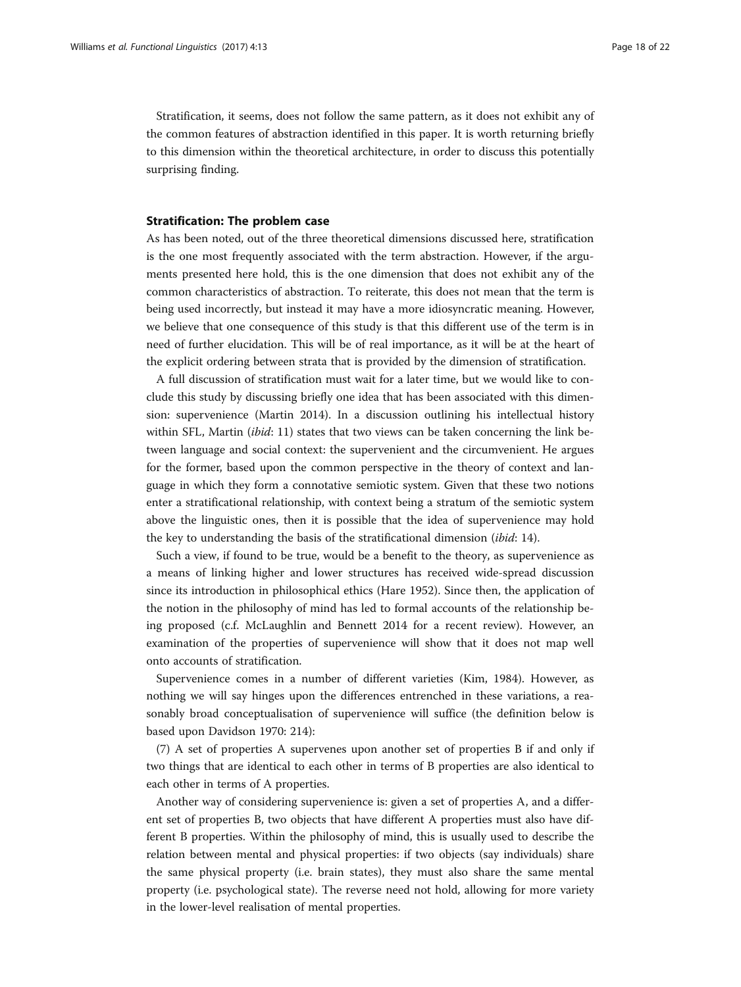Stratification, it seems, does not follow the same pattern, as it does not exhibit any of the common features of abstraction identified in this paper. It is worth returning briefly to this dimension within the theoretical architecture, in order to discuss this potentially surprising finding.

## Stratification: The problem case

As has been noted, out of the three theoretical dimensions discussed here, stratification is the one most frequently associated with the term abstraction. However, if the arguments presented here hold, this is the one dimension that does not exhibit any of the common characteristics of abstraction. To reiterate, this does not mean that the term is being used incorrectly, but instead it may have a more idiosyncratic meaning. However, we believe that one consequence of this study is that this different use of the term is in need of further elucidation. This will be of real importance, as it will be at the heart of the explicit ordering between strata that is provided by the dimension of stratification.

A full discussion of stratification must wait for a later time, but we would like to conclude this study by discussing briefly one idea that has been associated with this dimension: supervenience (Martin [2014\)](#page-20-0). In a discussion outlining his intellectual history within SFL, Martin (ibid: 11) states that two views can be taken concerning the link between language and social context: the supervenient and the circumvenient. He argues for the former, based upon the common perspective in the theory of context and language in which they form a connotative semiotic system. Given that these two notions enter a stratificational relationship, with context being a stratum of the semiotic system above the linguistic ones, then it is possible that the idea of supervenience may hold the key to understanding the basis of the stratificational dimension (ibid: 14).

Such a view, if found to be true, would be a benefit to the theory, as supervenience as a means of linking higher and lower structures has received wide-spread discussion since its introduction in philosophical ethics (Hare [1952\)](#page-20-0). Since then, the application of the notion in the philosophy of mind has led to formal accounts of the relationship being proposed (c.f. McLaughlin and Bennett [2014](#page-21-0) for a recent review). However, an examination of the properties of supervenience will show that it does not map well onto accounts of stratification.

Supervenience comes in a number of different varieties (Kim, [1984](#page-20-0)). However, as nothing we will say hinges upon the differences entrenched in these variations, a reasonably broad conceptualisation of supervenience will suffice (the definition below is based upon Davidson 1970: 214):

(7) A set of properties A supervenes upon another set of properties B if and only if two things that are identical to each other in terms of B properties are also identical to each other in terms of A properties.

Another way of considering supervenience is: given a set of properties A, and a different set of properties B, two objects that have different A properties must also have different B properties. Within the philosophy of mind, this is usually used to describe the relation between mental and physical properties: if two objects (say individuals) share the same physical property (i.e. brain states), they must also share the same mental property (i.e. psychological state). The reverse need not hold, allowing for more variety in the lower-level realisation of mental properties.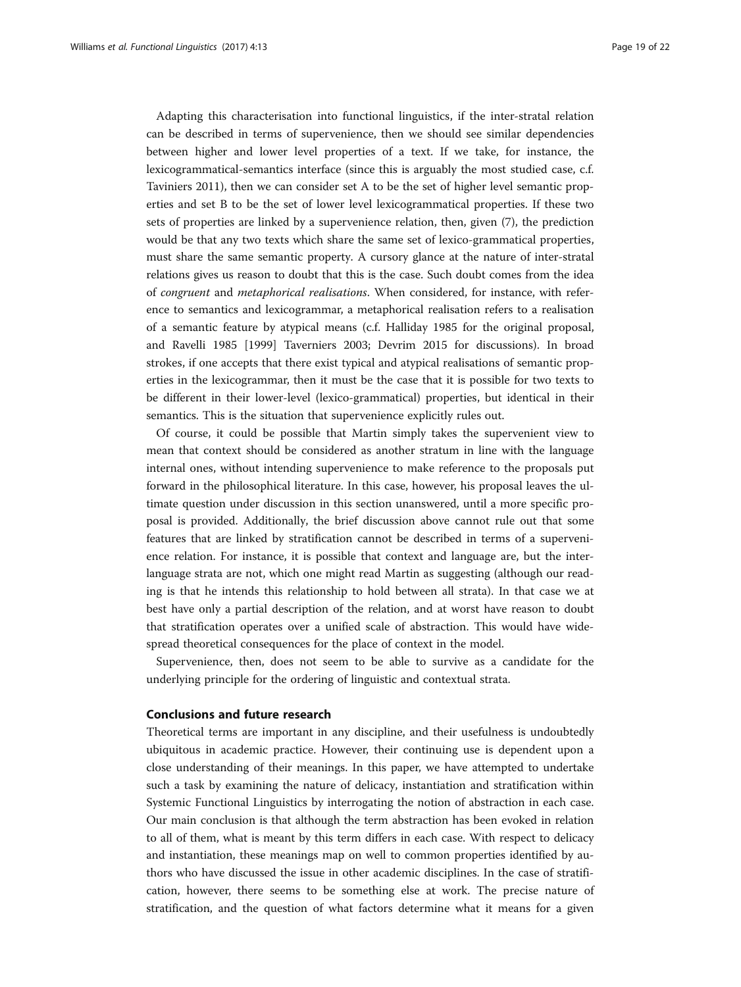Adapting this characterisation into functional linguistics, if the inter-stratal relation can be described in terms of supervenience, then we should see similar dependencies between higher and lower level properties of a text. If we take, for instance, the lexicogrammatical-semantics interface (since this is arguably the most studied case, c.f. Taviniers 2011), then we can consider set A to be the set of higher level semantic properties and set B to be the set of lower level lexicogrammatical properties. If these two sets of properties are linked by a supervenience relation, then, given (7), the prediction would be that any two texts which share the same set of lexico-grammatical properties, must share the same semantic property. A cursory glance at the nature of inter-stratal relations gives us reason to doubt that this is the case. Such doubt comes from the idea of congruent and metaphorical realisations. When considered, for instance, with reference to semantics and lexicogrammar, a metaphorical realisation refers to a realisation of a semantic feature by atypical means (c.f. Halliday [1985](#page-20-0) for the original proposal, and Ravelli [1985](#page-21-0) [1999] Taverniers 2003; Devrim [2015](#page-20-0) for discussions). In broad strokes, if one accepts that there exist typical and atypical realisations of semantic properties in the lexicogrammar, then it must be the case that it is possible for two texts to be different in their lower-level (lexico-grammatical) properties, but identical in their semantics. This is the situation that supervenience explicitly rules out.

Of course, it could be possible that Martin simply takes the supervenient view to mean that context should be considered as another stratum in line with the language internal ones, without intending supervenience to make reference to the proposals put forward in the philosophical literature. In this case, however, his proposal leaves the ultimate question under discussion in this section unanswered, until a more specific proposal is provided. Additionally, the brief discussion above cannot rule out that some features that are linked by stratification cannot be described in terms of a supervenience relation. For instance, it is possible that context and language are, but the interlanguage strata are not, which one might read Martin as suggesting (although our reading is that he intends this relationship to hold between all strata). In that case we at best have only a partial description of the relation, and at worst have reason to doubt that stratification operates over a unified scale of abstraction. This would have widespread theoretical consequences for the place of context in the model.

Supervenience, then, does not seem to be able to survive as a candidate for the underlying principle for the ordering of linguistic and contextual strata.

## Conclusions and future research

Theoretical terms are important in any discipline, and their usefulness is undoubtedly ubiquitous in academic practice. However, their continuing use is dependent upon a close understanding of their meanings. In this paper, we have attempted to undertake such a task by examining the nature of delicacy, instantiation and stratification within Systemic Functional Linguistics by interrogating the notion of abstraction in each case. Our main conclusion is that although the term abstraction has been evoked in relation to all of them, what is meant by this term differs in each case. With respect to delicacy and instantiation, these meanings map on well to common properties identified by authors who have discussed the issue in other academic disciplines. In the case of stratification, however, there seems to be something else at work. The precise nature of stratification, and the question of what factors determine what it means for a given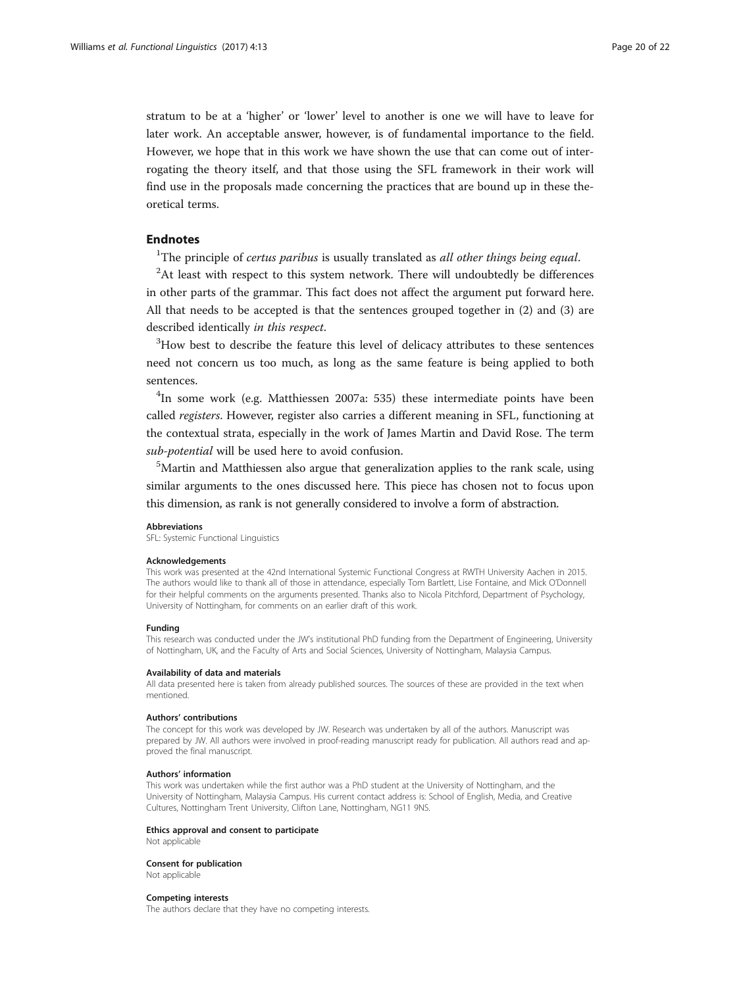stratum to be at a 'higher' or 'lower' level to another is one we will have to leave for later work. An acceptable answer, however, is of fundamental importance to the field. However, we hope that in this work we have shown the use that can come out of interrogating the theory itself, and that those using the SFL framework in their work will find use in the proposals made concerning the practices that are bound up in these theoretical terms.

## Endnotes

<sup>1</sup>The principle of *certus paribus* is usually translated as *all other things being equal*.

 $2$ At least with respect to this system network. There will undoubtedly be differences in other parts of the grammar. This fact does not affect the argument put forward here. All that needs to be accepted is that the sentences grouped together in (2) and (3) are described identically in this respect.

 $3$ How best to describe the feature this level of delicacy attributes to these sentences need not concern us too much, as long as the same feature is being applied to both sentences.

<sup>4</sup>In some work (e.g. Matthiessen [2007a:](#page-21-0) 535) these intermediate points have been called registers. However, register also carries a different meaning in SFL, functioning at the contextual strata, especially in the work of James Martin and David Rose. The term sub-potential will be used here to avoid confusion.

<sup>5</sup>Martin and Matthiessen also argue that generalization applies to the rank scale, using similar arguments to the ones discussed here. This piece has chosen not to focus upon this dimension, as rank is not generally considered to involve a form of abstraction.

#### Abbreviations

SFL: Systemic Functional Linguistics

#### Acknowledgements

This work was presented at the 42nd International Systemic Functional Congress at RWTH University Aachen in 2015. The authors would like to thank all of those in attendance, especially Tom Bartlett, Lise Fontaine, and Mick O'Donnell for their helpful comments on the arguments presented. Thanks also to Nicola Pitchford, Department of Psychology, University of Nottingham, for comments on an earlier draft of this work.

#### Funding

This research was conducted under the JW's institutional PhD funding from the Department of Engineering, University of Nottingham, UK, and the Faculty of Arts and Social Sciences, University of Nottingham, Malaysia Campus.

#### Availability of data and materials

All data presented here is taken from already published sources. The sources of these are provided in the text when mentioned.

#### Authors' contributions

The concept for this work was developed by JW. Research was undertaken by all of the authors. Manuscript was prepared by JW. All authors were involved in proof-reading manuscript ready for publication. All authors read and approved the final manuscript.

#### Authors' information

This work was undertaken while the first author was a PhD student at the University of Nottingham, and the University of Nottingham, Malaysia Campus. His current contact address is: School of English, Media, and Creative Cultures, Nottingham Trent University, Clifton Lane, Nottingham, NG11 9NS.

#### Ethics approval and consent to participate

Not applicable

#### Consent for publication

Not applicable

### Competing interests

The authors declare that they have no competing interests.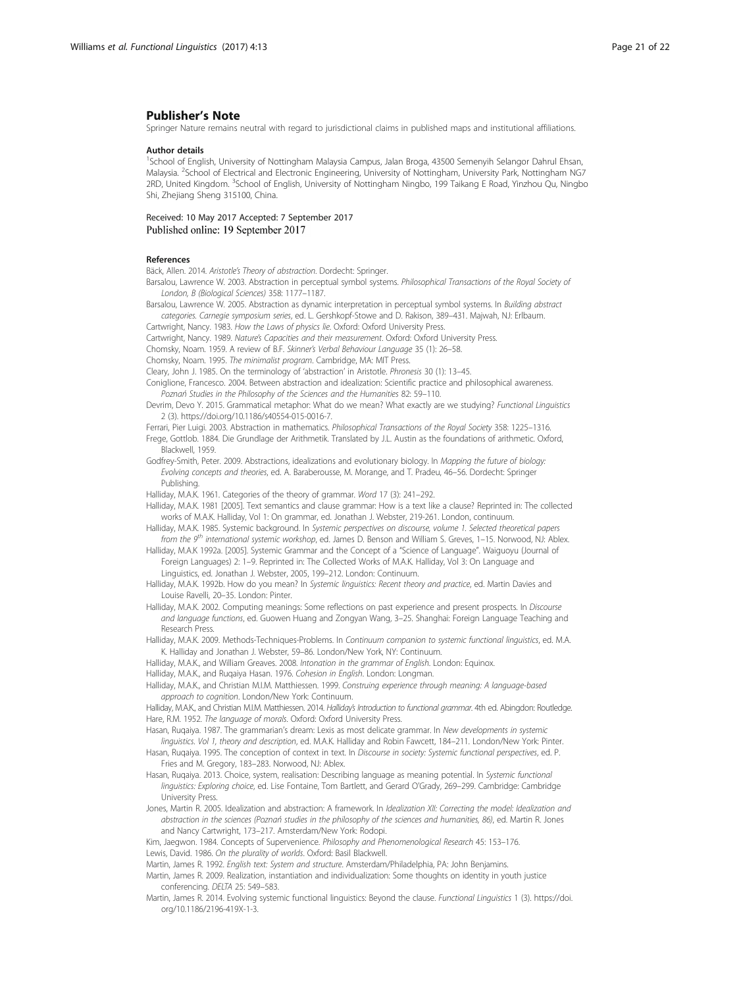## <span id="page-20-0"></span>Publisher's Note

Springer Nature remains neutral with regard to jurisdictional claims in published maps and institutional affiliations.

#### Author details

<sup>1</sup>School of English, University of Nottingham Malaysia Campus, Jalan Broga, 43500 Semenyih Selangor Dahrul Ehsan, Malaysia. <sup>2</sup>School of Electrical and Electronic Engineering, University of Nottingham, University Park, Nottingham NG7 2RD, United Kingdom. <sup>3</sup>School of English, University of Nottingham Ningbo, 199 Taikang E Road, Yinzhou Qu, Ningbo Shi, Zhejiang Sheng 315100, China.

Received: 10 May 2017 Accepted: 7 September 2017 Published online: 19 September 2017

#### References

Bäck, Allen. 2014. Aristotle's Theory of abstraction. Dordecht: Springer.

- Barsalou, Lawrence W. 2003. Abstraction in perceptual symbol systems. Philosophical Transactions of the Royal Society of London, B (Biological Sciences) 358: 1177–1187.
- Barsalou, Lawrence W. 2005. Abstraction as dynamic interpretation in perceptual symbol systems. In Building abstract categories. Carnegie symposium series, ed. L. Gershkopf-Stowe and D. Rakison, 389–431. Majwah, NJ: Erlbaum.
- Cartwright, Nancy. 1983. How the Laws of physics lie. Oxford: Oxford University Press.
- Cartwright, Nancy. 1989. Nature's Capacities and their measurement. Oxford: Oxford University Press.
- Chomsky, Noam. 1959. A review of B.F. Skinner's Verbal Behaviour Language 35 (1): 26–58.
- Chomsky, Noam. 1995. The minimalist program. Cambridge, MA: MIT Press.
- Cleary, John J. 1985. On the terminology of 'abstraction' in Aristotle. Phronesis 30 (1): 13–45.
- Coniglione, Francesco. 2004. Between abstraction and idealization: Scientific practice and philosophical awareness. Poznań Studies in the Philosophy of the Sciences and the Humanities 82: 59–110.
- Devrim, Devo Y. 2015. Grammatical metaphor: What do we mean? What exactly are we studying? Functional Linguistics 2 (3). [https://doi.org/10.1186/s40554-015-0016-7.](http://dx.doi.org/10.1186/s40554-015-0016-7)
- Ferrari, Pier Luigi. 2003. Abstraction in mathematics. Philosophical Transactions of the Royal Society 358: 1225–1316. Frege, Gottlob. 1884. Die Grundlage der Arithmetik. Translated by J.L. Austin as the foundations of arithmetic. Oxford, Blackwell, 1959.
- Godfrey-Smith, Peter. 2009. Abstractions, idealizations and evolutionary biology. In Mapping the future of biology: Evolving concepts and theories, ed. A. Baraberousse, M. Morange, and T. Pradeu, 46–56. Dordecht: Springer Publishing.
- Halliday, M.A.K. 1961. Categories of the theory of grammar. Word 17 (3): 241–292.
- Halliday, M.A.K. 1981 [2005]. Text semantics and clause grammar: How is a text like a clause? Reprinted in: The collected works of M.A.K. Halliday, Vol 1: On grammar, ed. Jonathan J. Webster, 219-261. London, continuum.
- Halliday, M.A.K. 1985. Systemic background. In Systemic perspectives on discourse, volume 1. Selected theoretical papers from the 9<sup>th</sup> international systemic workshop, ed. James D. Benson and William S. Greves, 1–15. Norwood, NJ: Ablex.
- Halliday, M.A.K 1992a. [2005]. Systemic Grammar and the Concept of a "Science of Language". Waiguoyu (Journal of Foreign Languages) 2: 1–9. Reprinted in: The Collected Works of M.A.K. Halliday, Vol 3: On Language and Linguistics, ed. Jonathan J. Webster, 2005, 199–212. London: Continuum.
- Halliday, M.A.K. 1992b. How do you mean? In Systemic linguistics: Recent theory and practice, ed. Martin Davies and Louise Ravelli, 20–35. London: Pinter.
- Halliday, M.A.K. 2002. Computing meanings: Some reflections on past experience and present prospects. In Discourse and language functions, ed. Guowen Huang and Zongyan Wang, 3–25. Shanghai: Foreign Language Teaching and Research Press.
- Halliday, M.A.K. 2009. Methods-Techniques-Problems. In Continuum companion to systemic functional linguistics, ed. M.A. K. Halliday and Jonathan J. Webster, 59–86. London/New York, NY: Continuum.
- Halliday, M.A.K., and William Greaves. 2008. Intonation in the grammar of English. London: Equinox.
- Halliday, M.A.K., and Ruqaiya Hasan. 1976. Cohesion in English. London: Longman.

Halliday, M.A.K., and Christian M.I.M. Matthiessen. 1999. Construing experience through meaning: A language-based approach to cognition. London/New York: Continuum.

Halliday, M.A.K., and Christian M.I.M. Matthiessen. 2014. Halliday's Introduction to functional grammar. 4th ed. Abingdon: Routledge. Hare, R.M. 1952. The language of morals. Oxford: Oxford University Press.

- Hasan, Ruqaiya. 1987. The grammarian's dream: Lexis as most delicate grammar. In New developments in systemic
- linguistics. Vol 1, theory and description, ed. M.A.K. Halliday and Robin Fawcett, 184–211. London/New York: Pinter. Hasan, Ruqaiya. 1995. The conception of context in text. In Discourse in society: Systemic functional perspectives, ed. P. Fries and M. Gregory, 183–283. Norwood, NJ: Ablex.
- Hasan, Ruqaiya. 2013. Choice, system, realisation: Describing language as meaning potential. In Systemic functional linguistics: Exploring choice, ed. Lise Fontaine, Tom Bartlett, and Gerard O'Grady, 269–299. Cambridge: Cambridge University Press.
- Jones, Martin R. 2005. Idealization and abstraction: A framework. In Idealization XII: Correcting the model: Idealization and abstraction in the sciences (Poznań studies in the philosophy of the sciences and humanities, 86), ed. Martin R. Jones and Nancy Cartwright, 173–217. Amsterdam/New York: Rodopi.
- Kim, Jaegwon. 1984. Concepts of Supervenience. Philosophy and Phenomenological Research 45: 153–176. Lewis, David. 1986. On the plurality of worlds. Oxford: Basil Blackwell.
- Martin, James R. 1992. English text: System and structure. Amsterdam/Philadelphia, PA: John Benjamins.
- Martin, James R. 2009. Realization, instantiation and individualization: Some thoughts on identity in youth justice conferencing. DELTA 25: 549–583.
- Martin, James R. 2014. Evolving systemic functional linguistics: Beyond the clause. Functional Linguistics 1 (3). [https://doi.](http://dx.doi.org/10.1186/2196-419X-1-3) [org/10.1186/2196-419X-1-3.](http://dx.doi.org/10.1186/2196-419X-1-3)